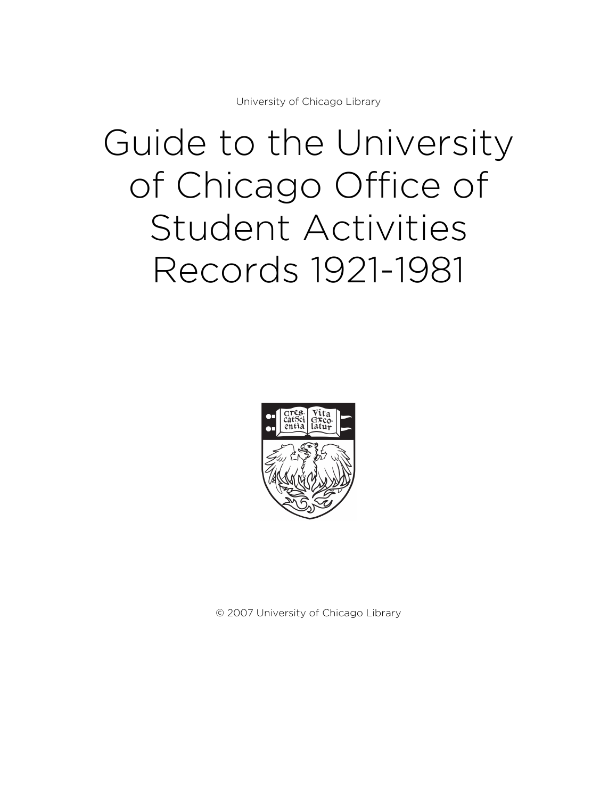University of Chicago Library

# Guide to the University of Chicago Office of Student Activities Records 1921-1981



© 2007 University of Chicago Library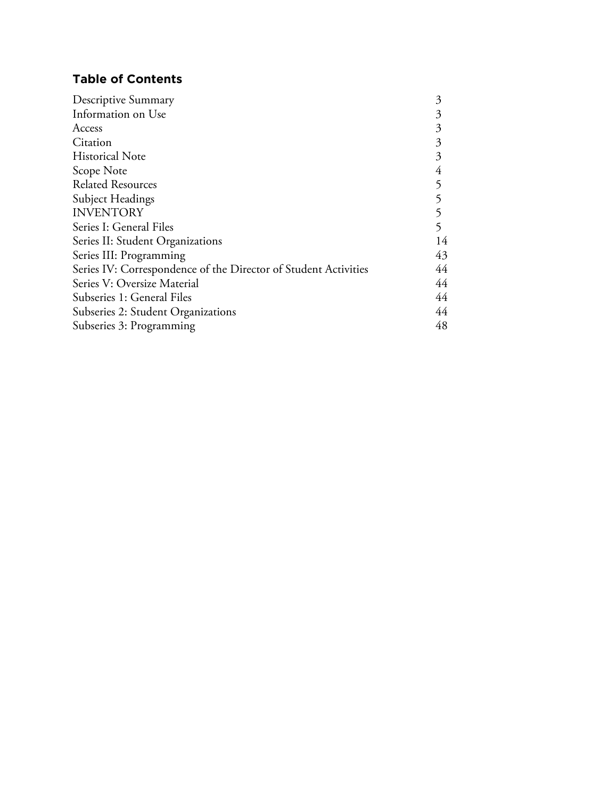# **Table of Contents**

| Descriptive Summary                                             | 3  |
|-----------------------------------------------------------------|----|
| Information on Use                                              | 3  |
| Access                                                          | 3  |
| Citation                                                        | 3  |
| <b>Historical Note</b>                                          | 3  |
| Scope Note                                                      | 4  |
| <b>Related Resources</b>                                        |    |
| Subject Headings                                                |    |
| <b>INVENTORY</b>                                                |    |
| Series I: General Files                                         |    |
| Series II: Student Organizations                                |    |
| Series III: Programming                                         | 43 |
| Series IV: Correspondence of the Director of Student Activities | 44 |
| Series V: Oversize Material                                     | 44 |
| Subseries 1: General Files                                      | 44 |
| Subseries 2: Student Organizations                              | 44 |
| Subseries 3: Programming                                        |    |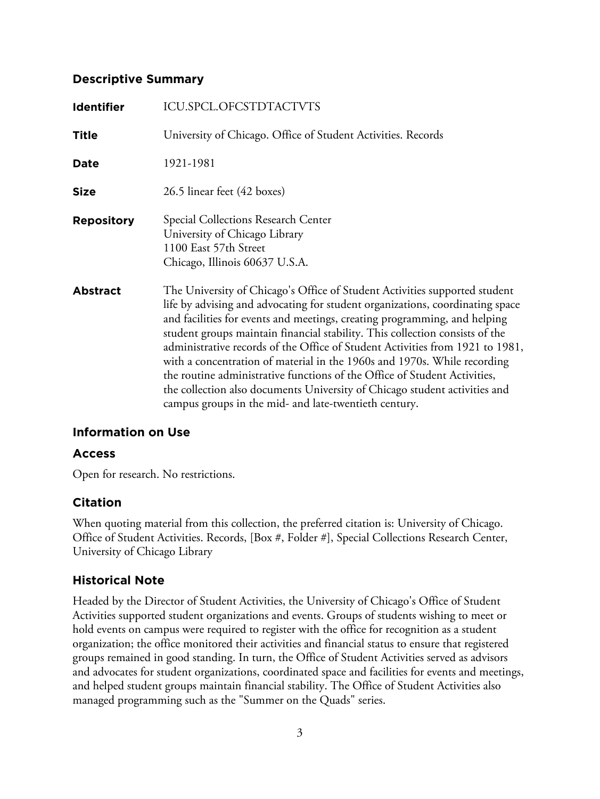# **Descriptive Summary**

| <b>Identifier</b> | ICU.SPCL.OFCSTDTACTVTS                                                                                                                                                                                                                                                                                                                                                                                                                                                                                                                                                                                                                                                                                    |
|-------------------|-----------------------------------------------------------------------------------------------------------------------------------------------------------------------------------------------------------------------------------------------------------------------------------------------------------------------------------------------------------------------------------------------------------------------------------------------------------------------------------------------------------------------------------------------------------------------------------------------------------------------------------------------------------------------------------------------------------|
| <b>Title</b>      | University of Chicago. Office of Student Activities. Records                                                                                                                                                                                                                                                                                                                                                                                                                                                                                                                                                                                                                                              |
| Date              | 1921-1981                                                                                                                                                                                                                                                                                                                                                                                                                                                                                                                                                                                                                                                                                                 |
| <b>Size</b>       | 26.5 linear feet (42 boxes)                                                                                                                                                                                                                                                                                                                                                                                                                                                                                                                                                                                                                                                                               |
| <b>Repository</b> | Special Collections Research Center<br>University of Chicago Library<br>1100 East 57th Street<br>Chicago, Illinois 60637 U.S.A.                                                                                                                                                                                                                                                                                                                                                                                                                                                                                                                                                                           |
| <b>Abstract</b>   | The University of Chicago's Office of Student Activities supported student<br>life by advising and advocating for student organizations, coordinating space<br>and facilities for events and meetings, creating programming, and helping<br>student groups maintain financial stability. This collection consists of the<br>administrative records of the Office of Student Activities from 1921 to 1981,<br>with a concentration of material in the 1960s and 1970s. While recording<br>the routine administrative functions of the Office of Student Activities,<br>the collection also documents University of Chicago student activities and<br>campus groups in the mid- and late-twentieth century. |

# **Information on Use**

# **Access**

Open for research. No restrictions.

# **Citation**

When quoting material from this collection, the preferred citation is: University of Chicago. Office of Student Activities. Records, [Box #, Folder #], Special Collections Research Center, University of Chicago Library

# **Historical Note**

Headed by the Director of Student Activities, the University of Chicago's Office of Student Activities supported student organizations and events. Groups of students wishing to meet or hold events on campus were required to register with the office for recognition as a student organization; the office monitored their activities and financial status to ensure that registered groups remained in good standing. In turn, the Office of Student Activities served as advisors and advocates for student organizations, coordinated space and facilities for events and meetings, and helped student groups maintain financial stability. The Office of Student Activities also managed programming such as the "Summer on the Quads" series.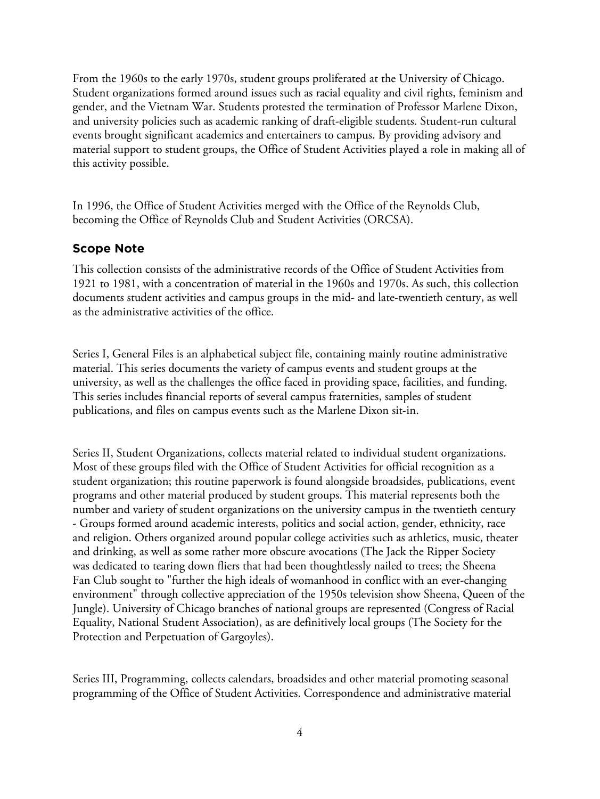From the 1960s to the early 1970s, student groups proliferated at the University of Chicago. Student organizations formed around issues such as racial equality and civil rights, feminism and gender, and the Vietnam War. Students protested the termination of Professor Marlene Dixon, and university policies such as academic ranking of draft-eligible students. Student-run cultural events brought significant academics and entertainers to campus. By providing advisory and material support to student groups, the Office of Student Activities played a role in making all of this activity possible.

In 1996, the Office of Student Activities merged with the Office of the Reynolds Club, becoming the Office of Reynolds Club and Student Activities (ORCSA).

# **Scope Note**

This collection consists of the administrative records of the Office of Student Activities from 1921 to 1981, with a concentration of material in the 1960s and 1970s. As such, this collection documents student activities and campus groups in the mid- and late-twentieth century, as well as the administrative activities of the office.

Series I, General Files is an alphabetical subject file, containing mainly routine administrative material. This series documents the variety of campus events and student groups at the university, as well as the challenges the office faced in providing space, facilities, and funding. This series includes financial reports of several campus fraternities, samples of student publications, and files on campus events such as the Marlene Dixon sit-in.

Series II, Student Organizations, collects material related to individual student organizations. Most of these groups filed with the Office of Student Activities for official recognition as a student organization; this routine paperwork is found alongside broadsides, publications, event programs and other material produced by student groups. This material represents both the number and variety of student organizations on the university campus in the twentieth century - Groups formed around academic interests, politics and social action, gender, ethnicity, race and religion. Others organized around popular college activities such as athletics, music, theater and drinking, as well as some rather more obscure avocations (The Jack the Ripper Society was dedicated to tearing down fliers that had been thoughtlessly nailed to trees; the Sheena Fan Club sought to "further the high ideals of womanhood in conflict with an ever-changing environment" through collective appreciation of the 1950s television show Sheena, Queen of the Jungle). University of Chicago branches of national groups are represented (Congress of Racial Equality, National Student Association), as are definitively local groups (The Society for the Protection and Perpetuation of Gargoyles).

Series III, Programming, collects calendars, broadsides and other material promoting seasonal programming of the Office of Student Activities. Correspondence and administrative material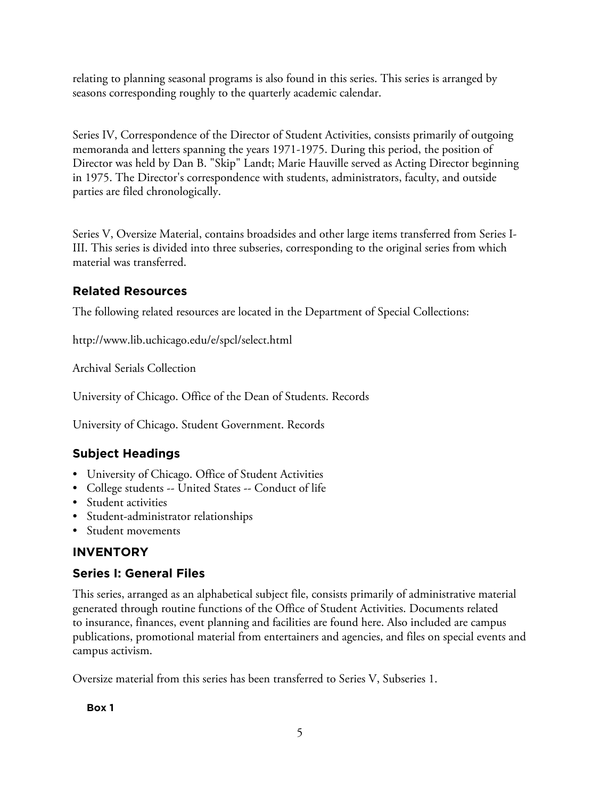relating to planning seasonal programs is also found in this series. This series is arranged by seasons corresponding roughly to the quarterly academic calendar.

Series IV, Correspondence of the Director of Student Activities, consists primarily of outgoing memoranda and letters spanning the years 1971-1975. During this period, the position of Director was held by Dan B. "Skip" Landt; Marie Hauville served as Acting Director beginning in 1975. The Director's correspondence with students, administrators, faculty, and outside parties are filed chronologically.

Series V, Oversize Material, contains broadsides and other large items transferred from Series I-III. This series is divided into three subseries, corresponding to the original series from which material was transferred.

# **Related Resources**

The following related resources are located in the Department of Special Collections:

http://www.lib.uchicago.edu/e/spcl/select.html

Archival Serials Collection

University of Chicago. Office of the Dean of Students. Records

University of Chicago. Student Government. Records

# **Subject Headings**

- University of Chicago. Office of Student Activities
- College students -- United States -- Conduct of life
- Student activities
- Student-administrator relationships
- Student movements

# **INVENTORY**

# **Series I: General Files**

This series, arranged as an alphabetical subject file, consists primarily of administrative material generated through routine functions of the Office of Student Activities. Documents related to insurance, finances, event planning and facilities are found here. Also included are campus publications, promotional material from entertainers and agencies, and files on special events and campus activism.

Oversize material from this series has been transferred to Series V, Subseries 1.

**Box 1**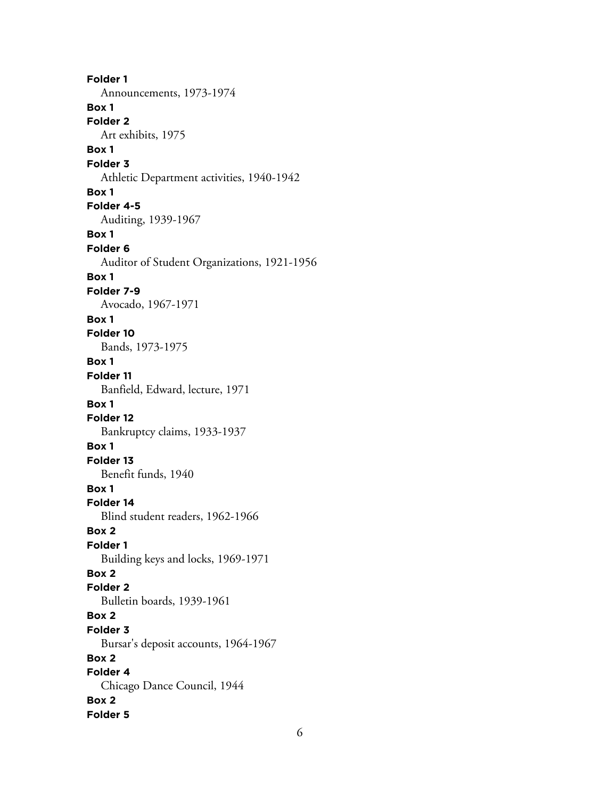**Folder 1** Announcements, 1973-1974 **Box 1 Folder 2** Art exhibits, 1975 **Box 1 Folder 3** Athletic Department activities, 1940-1942 **Box 1 Folder 4-5** Auditing, 1939-1967 **Box 1 Folder 6** Auditor of Student Organizations, 1921-1956 **Box 1 Folder 7-9** Avocado, 1967-1971 **Box 1 Folder 10** Bands, 1973-1975 **Box 1 Folder 11** Banfield, Edward, lecture, 1971 **Box 1 Folder 12** Bankruptcy claims, 1933-1937 **Box 1 Folder 13** Benefit funds, 1940 **Box 1 Folder 14** Blind student readers, 1962-1966 **Box 2 Folder 1** Building keys and locks, 1969-1971 **Box 2 Folder 2** Bulletin boards, 1939-1961 **Box 2 Folder 3** Bursar's deposit accounts, 1964-1967 **Box 2 Folder 4** Chicago Dance Council, 1944 **Box 2 Folder 5**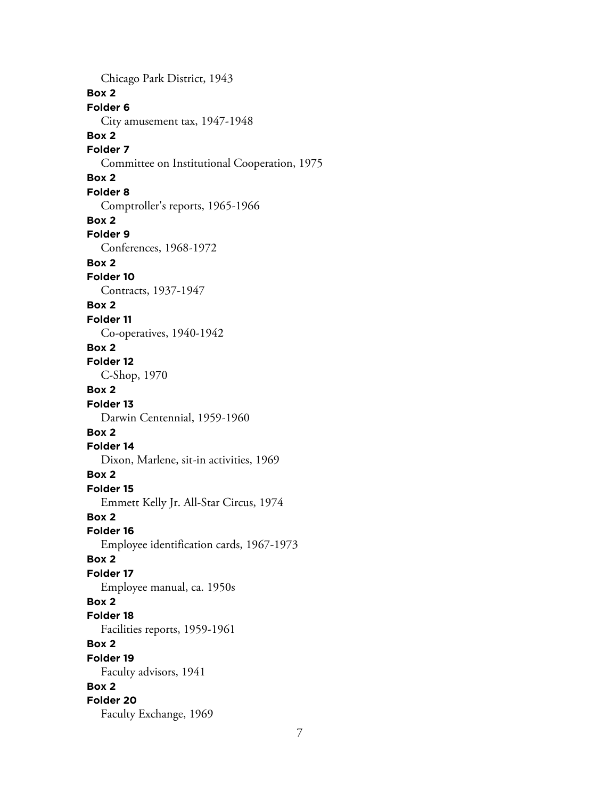Chicago Park District, 1943 **Box 2 Folder 6** City amusement tax, 1947-1948 **Box 2 Folder 7** Committee on Institutional Cooperation, 1975 **Box 2 Folder 8** Comptroller's reports, 1965-1966 **Box 2 Folder 9** Conferences, 1968-1972 **Box 2 Folder 10** Contracts, 1937-1947 **Box 2 Folder 11** Co-operatives, 1940-1942 **Box 2 Folder 12** C-Shop, 1970 **Box 2 Folder 13** Darwin Centennial, 1959-1960 **Box 2 Folder 14** Dixon, Marlene, sit-in activities, 1969 **Box 2 Folder 15** Emmett Kelly Jr. All-Star Circus, 1974 **Box 2 Folder 16** Employee identification cards, 1967-1973 **Box 2 Folder 17** Employee manual, ca. 1950s **Box 2 Folder 18** Facilities reports, 1959-1961 **Box 2 Folder 19** Faculty advisors, 1941 **Box 2 Folder 20** Faculty Exchange, 1969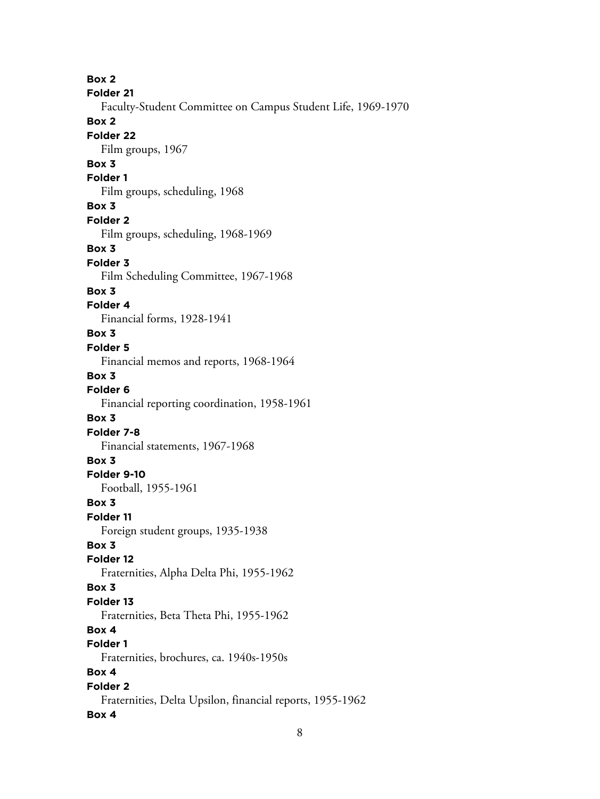**Box 2 Folder 21** Faculty-Student Committee on Campus Student Life, 1969-1970 **Box 2 Folder 22** Film groups, 1967 **Box 3 Folder 1** Film groups, scheduling, 1968 **Box 3 Folder 2** Film groups, scheduling, 1968-1969 **Box 3 Folder 3** Film Scheduling Committee, 1967-1968 **Box 3 Folder 4** Financial forms, 1928-1941 **Box 3 Folder 5** Financial memos and reports, 1968-1964 **Box 3 Folder 6** Financial reporting coordination, 1958-1961 **Box 3 Folder 7-8** Financial statements, 1967-1968 **Box 3 Folder 9-10** Football, 1955-1961 **Box 3 Folder 11** Foreign student groups, 1935-1938 **Box 3 Folder 12** Fraternities, Alpha Delta Phi, 1955-1962 **Box 3 Folder 13** Fraternities, Beta Theta Phi, 1955-1962 **Box 4 Folder 1** Fraternities, brochures, ca. 1940s-1950s **Box 4 Folder 2** Fraternities, Delta Upsilon, financial reports, 1955-1962 **Box 4**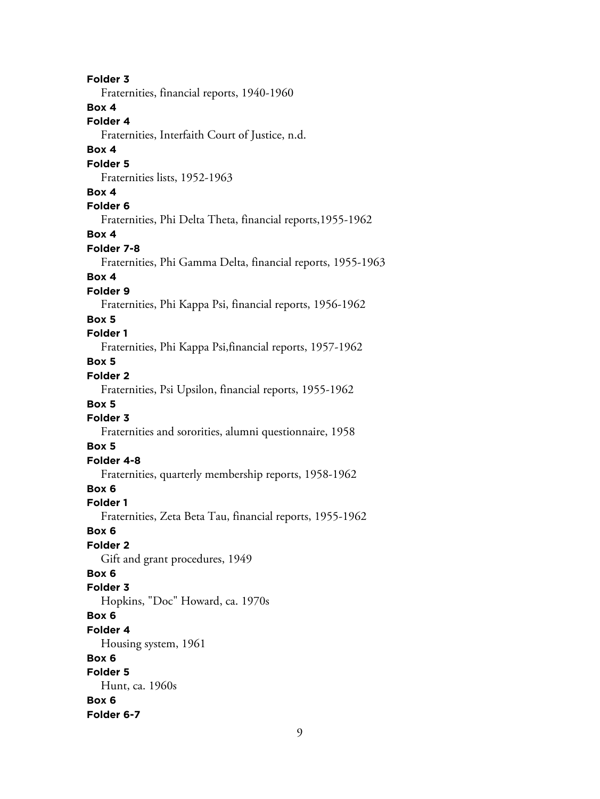**Folder 3** Fraternities, financial reports, 1940-1960 **Box 4 Folder 4** Fraternities, Interfaith Court of Justice, n.d. **Box 4 Folder 5** Fraternities lists, 1952-1963 **Box 4 Folder 6** Fraternities, Phi Delta Theta, financial reports,1955-1962 **Box 4 Folder 7-8** Fraternities, Phi Gamma Delta, financial reports, 1955-1963 **Box 4 Folder 9** Fraternities, Phi Kappa Psi, financial reports, 1956-1962 **Box 5 Folder 1** Fraternities, Phi Kappa Psi,financial reports, 1957-1962 **Box 5 Folder 2** Fraternities, Psi Upsilon, financial reports, 1955-1962 **Box 5 Folder 3** Fraternities and sororities, alumni questionnaire, 1958 **Box 5 Folder 4-8** Fraternities, quarterly membership reports, 1958-1962 **Box 6 Folder 1** Fraternities, Zeta Beta Tau, financial reports, 1955-1962 **Box 6 Folder 2** Gift and grant procedures, 1949 **Box 6 Folder 3** Hopkins, "Doc" Howard, ca. 1970s **Box 6 Folder 4** Housing system, 1961 **Box 6 Folder 5** Hunt, ca. 1960s **Box 6 Folder 6-7**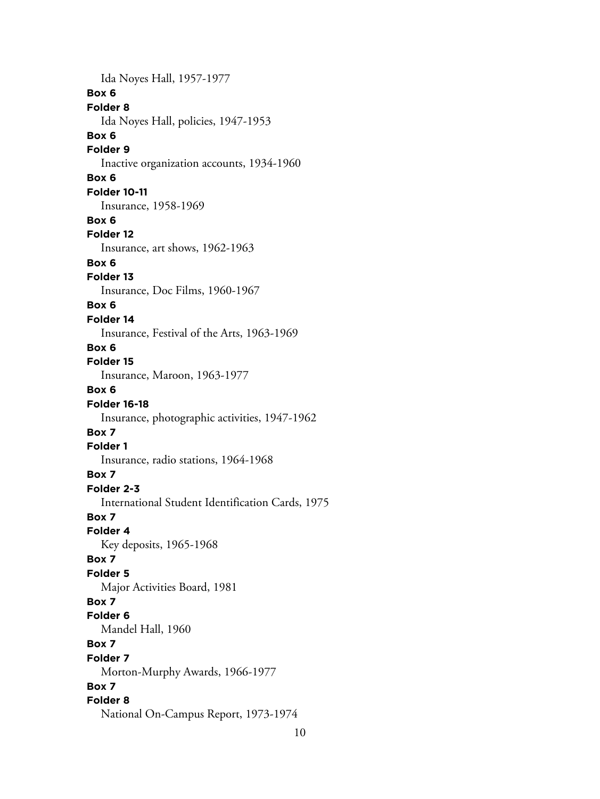Ida Noyes Hall, 1957-1977 **Box 6 Folder 8** Ida Noyes Hall, policies, 1947-1953 **Box 6 Folder 9** Inactive organization accounts, 1934-1960 **Box 6 Folder 10-11** Insurance, 1958-1969 **Box 6 Folder 12** Insurance, art shows, 1962-1963 **Box 6 Folder 13** Insurance, Doc Films, 1960-1967 **Box 6 Folder 14** Insurance, Festival of the Arts, 1963-1969 **Box 6 Folder 15** Insurance, Maroon, 1963-1977 **Box 6 Folder 16-18** Insurance, photographic activities, 1947-1962 **Box 7 Folder 1** Insurance, radio stations, 1964-1968 **Box 7 Folder 2-3** International Student Identification Cards, 1975 **Box 7 Folder 4** Key deposits, 1965-1968 **Box 7 Folder 5** Major Activities Board, 1981 **Box 7 Folder 6** Mandel Hall, 1960 **Box 7 Folder 7** Morton-Murphy Awards, 1966-1977 **Box 7 Folder 8** National On-Campus Report, 1973-1974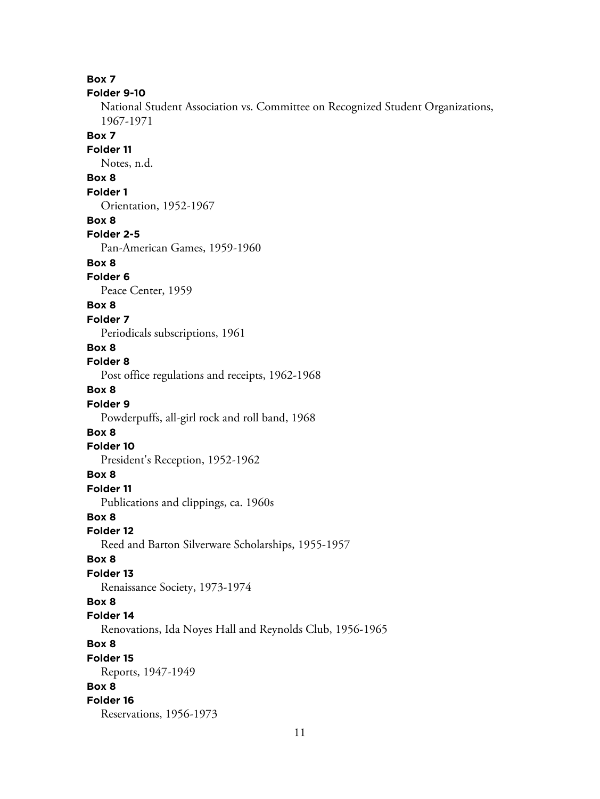**Box 7 Folder 9-10** National Student Association vs. Committee on Recognized Student Organizations, 1967-1971 **Box 7 Folder 11** Notes, n.d. **Box 8 Folder 1** Orientation, 1952-1967 **Box 8 Folder 2-5** Pan-American Games, 1959-1960 **Box 8 Folder 6** Peace Center, 1959 **Box 8 Folder 7** Periodicals subscriptions, 1961 **Box 8 Folder 8** Post office regulations and receipts, 1962-1968 **Box 8 Folder 9** Powderpuffs, all-girl rock and roll band, 1968 **Box 8 Folder 10** President's Reception, 1952-1962 **Box 8 Folder 11** Publications and clippings, ca. 1960s **Box 8 Folder 12** Reed and Barton Silverware Scholarships, 1955-1957 **Box 8 Folder 13** Renaissance Society, 1973-1974 **Box 8 Folder 14** Renovations, Ida Noyes Hall and Reynolds Club, 1956-1965 **Box 8 Folder 15** Reports, 1947-1949 **Box 8 Folder 16** Reservations, 1956-1973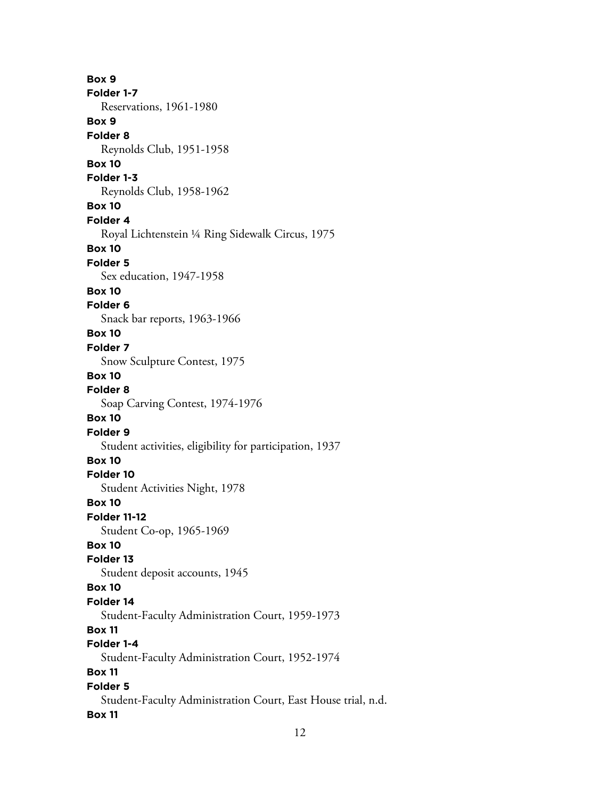**Box 9 Folder 1-7** Reservations, 1961-1980 **Box 9 Folder 8** Reynolds Club, 1951-1958 **Box 10 Folder 1-3** Reynolds Club, 1958-1962 **Box 10 Folder 4** Royal Lichtenstein ¼ Ring Sidewalk Circus, 1975 **Box 10 Folder 5** Sex education, 1947-1958 **Box 10 Folder 6** Snack bar reports, 1963-1966 **Box 10 Folder 7** Snow Sculpture Contest, 1975 **Box 10 Folder 8** Soap Carving Contest, 1974-1976 **Box 10 Folder 9** Student activities, eligibility for participation, 1937 **Box 10 Folder 10** Student Activities Night, 1978 **Box 10 Folder 11-12** Student Co-op, 1965-1969 **Box 10 Folder 13** Student deposit accounts, 1945 **Box 10 Folder 14** Student-Faculty Administration Court, 1959-1973 **Box 11 Folder 1-4** Student-Faculty Administration Court, 1952-1974 **Box 11 Folder 5** Student-Faculty Administration Court, East House trial, n.d. **Box 11**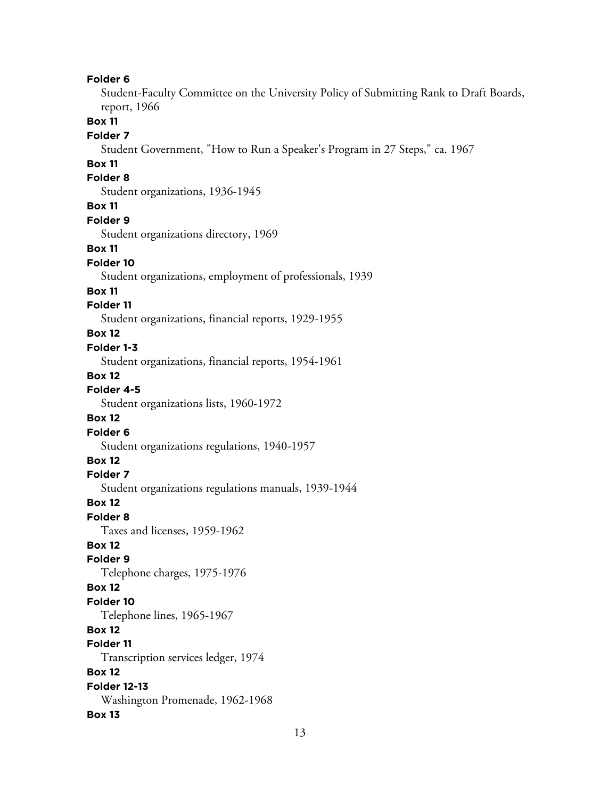#### **Folder 6**

Student-Faculty Committee on the University Policy of Submitting Rank to Draft Boards, report, 1966

# **Box 11**

#### **Folder 7**

Student Government, "How to Run a Speaker's Program in 27 Steps," ca. 1967

## **Box 11**

# **Folder 8**

Student organizations, 1936-1945

#### **Box 11**

#### **Folder 9**

Student organizations directory, 1969

#### **Box 11**

#### **Folder 10**

Student organizations, employment of professionals, 1939

#### **Box 11**

#### **Folder 11**

Student organizations, financial reports, 1929-1955

# **Box 12**

#### **Folder 1-3**

Student organizations, financial reports, 1954-1961

#### **Box 12**

# **Folder 4-5**

Student organizations lists, 1960-1972

#### **Box 12**

#### **Folder 6**

Student organizations regulations, 1940-1957

# **Box 12**

# **Folder 7**

Student organizations regulations manuals, 1939-1944

#### **Box 12**

#### **Folder 8**

Taxes and licenses, 1959-1962

# **Box 12**

# **Folder 9**

Telephone charges, 1975-1976

#### **Box 12**

# **Folder 10**

Telephone lines, 1965-1967

# **Box 12**

# **Folder 11**

Transcription services ledger, 1974

#### **Box 12**

# **Folder 12-13** Washington Promenade, 1962-1968

#### **Box 13**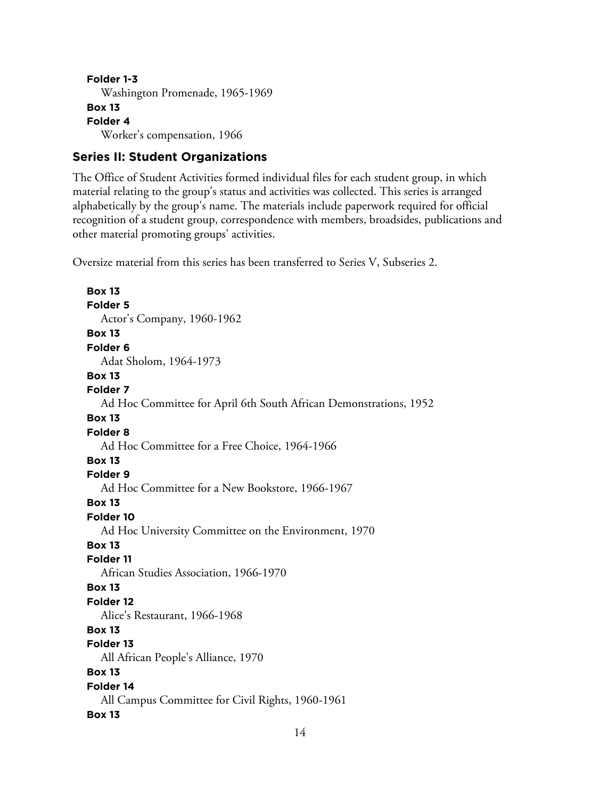```
Folder 1-3
  Washington Promenade, 1965-1969
Box 13
Folder 4
  Worker's compensation, 1966
```
# **Series II: Student Organizations**

The Office of Student Activities formed individual files for each student group, in which material relating to the group's status and activities was collected. This series is arranged alphabetically by the group's name. The materials include paperwork required for official recognition of a student group, correspondence with members, broadsides, publications and other material promoting groups' activities.

Oversize material from this series has been transferred to Series V, Subseries 2.

**Box 13 Folder 5** Actor's Company, 1960-1962 **Box 13 Folder 6** Adat Sholom, 1964-1973 **Box 13 Folder 7** Ad Hoc Committee for April 6th South African Demonstrations, 1952 **Box 13 Folder 8** Ad Hoc Committee for a Free Choice, 1964-1966 **Box 13 Folder 9** Ad Hoc Committee for a New Bookstore, 1966-1967 **Box 13 Folder 10** Ad Hoc University Committee on the Environment, 1970 **Box 13 Folder 11** African Studies Association, 1966-1970 **Box 13 Folder 12** Alice's Restaurant, 1966-1968 **Box 13 Folder 13** All African People's Alliance, 1970 **Box 13 Folder 14** All Campus Committee for Civil Rights, 1960-1961 **Box 13**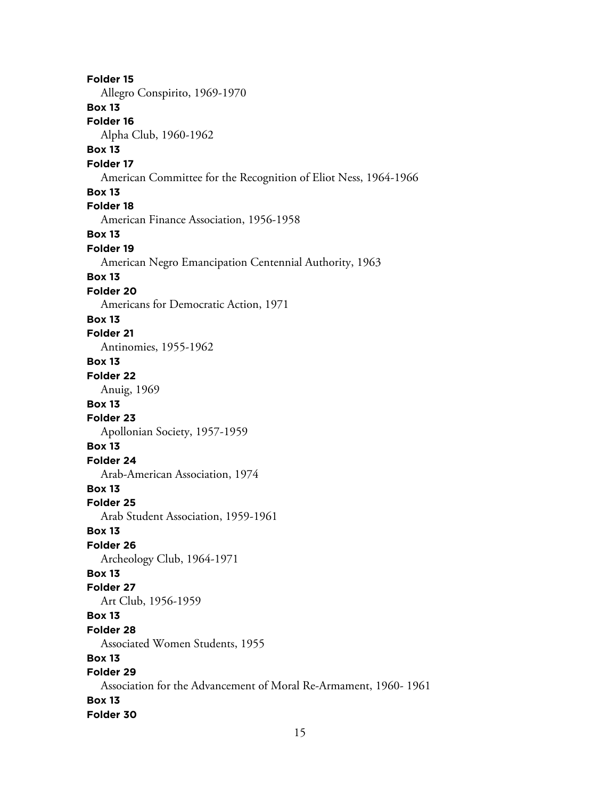**Folder 15** Allegro Conspirito, 1969-1970 **Box 13 Folder 16** Alpha Club, 1960-1962 **Box 13 Folder 17** American Committee for the Recognition of Eliot Ness, 1964-1966 **Box 13 Folder 18** American Finance Association, 1956-1958 **Box 13 Folder 19** American Negro Emancipation Centennial Authority, 1963 **Box 13 Folder 20** Americans for Democratic Action, 1971 **Box 13 Folder 21** Antinomies, 1955-1962 **Box 13 Folder 22** Anuig, 1969 **Box 13 Folder 23** Apollonian Society, 1957-1959 **Box 13 Folder 24** Arab-American Association, 1974 **Box 13 Folder 25** Arab Student Association, 1959-1961 **Box 13 Folder 26** Archeology Club, 1964-1971 **Box 13 Folder 27** Art Club, 1956-1959 **Box 13 Folder 28** Associated Women Students, 1955 **Box 13 Folder 29** Association for the Advancement of Moral Re-Armament, 1960- 1961 **Box 13 Folder 30**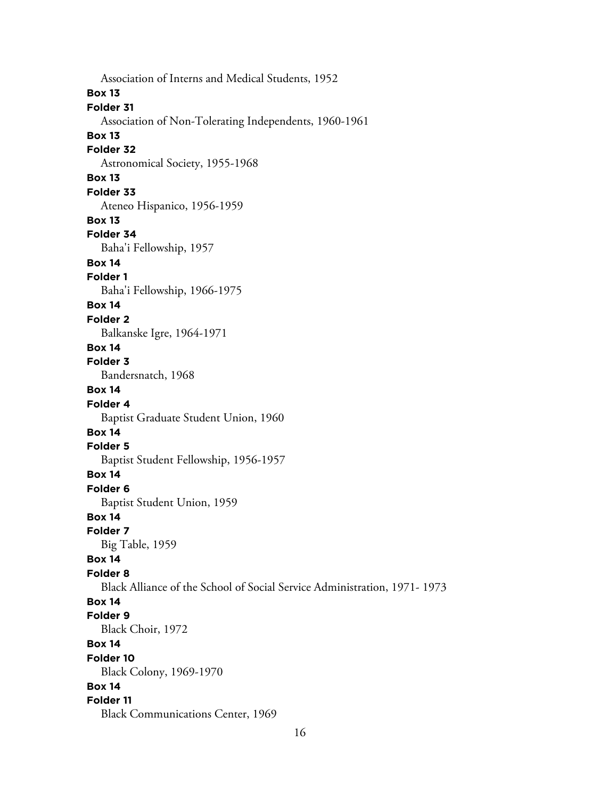Association of Interns and Medical Students, 1952 **Box 13 Folder 31** Association of Non-Tolerating Independents, 1960-1961 **Box 13 Folder 32** Astronomical Society, 1955-1968 **Box 13 Folder 33** Ateneo Hispanico, 1956-1959 **Box 13 Folder 34** Baha'i Fellowship, 1957 **Box 14 Folder 1** Baha'i Fellowship, 1966-1975 **Box 14 Folder 2** Balkanske Igre, 1964-1971 **Box 14 Folder 3** Bandersnatch, 1968 **Box 14 Folder 4** Baptist Graduate Student Union, 1960 **Box 14 Folder 5** Baptist Student Fellowship, 1956-1957 **Box 14 Folder 6** Baptist Student Union, 1959 **Box 14 Folder 7** Big Table, 1959 **Box 14 Folder 8** Black Alliance of the School of Social Service Administration, 1971- 1973 **Box 14 Folder 9** Black Choir, 1972 **Box 14 Folder 10** Black Colony, 1969-1970 **Box 14 Folder 11** Black Communications Center, 1969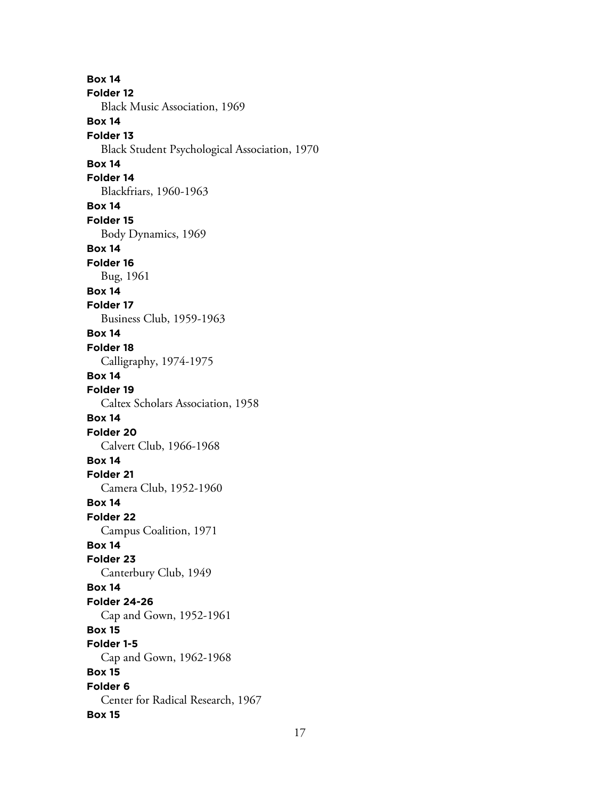**Box 14 Folder 12** Black Music Association, 1969 **Box 14 Folder 13** Black Student Psychological Association, 1970 **Box 14 Folder 14** Blackfriars, 1960-1963 **Box 14 Folder 15** Body Dynamics, 1969 **Box 14 Folder 16** Bug, 1961 **Box 14 Folder 17** Business Club, 1959-1963 **Box 14 Folder 18** Calligraphy, 1974-1975 **Box 14 Folder 19** Caltex Scholars Association, 1958 **Box 14 Folder 20** Calvert Club, 1966-1968 **Box 14 Folder 21** Camera Club, 1952-1960 **Box 14 Folder 22** Campus Coalition, 1971 **Box 14 Folder 23** Canterbury Club, 1949 **Box 14 Folder 24-26** Cap and Gown, 1952-1961 **Box 15 Folder 1-5** Cap and Gown, 1962-1968 **Box 15 Folder 6** Center for Radical Research, 1967 **Box 15**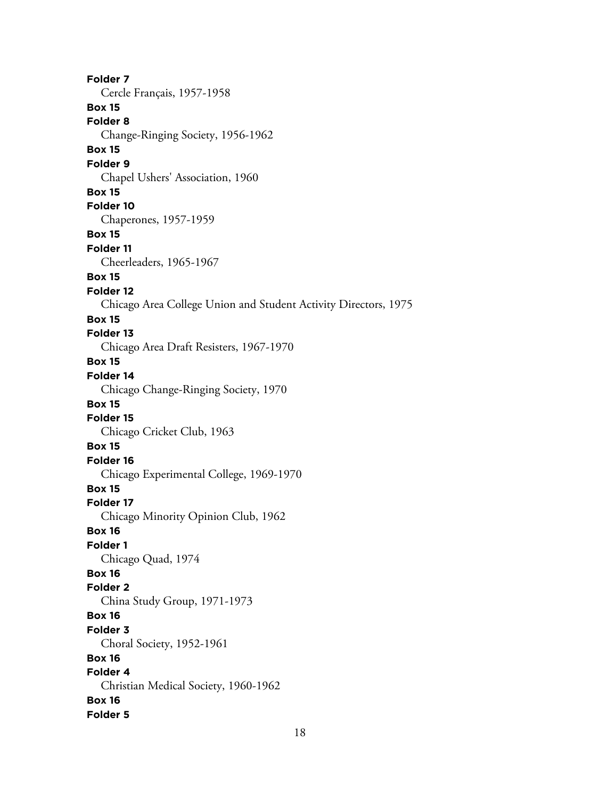**Folder 7** Cercle Français, 1957-1958 **Box 15 Folder 8** Change-Ringing Society, 1956-1962 **Box 15 Folder 9** Chapel Ushers' Association, 1960 **Box 15 Folder 10** Chaperones, 1957-1959 **Box 15 Folder 11** Cheerleaders, 1965-1967 **Box 15 Folder 12** Chicago Area College Union and Student Activity Directors, 1975 **Box 15 Folder 13** Chicago Area Draft Resisters, 1967-1970 **Box 15 Folder 14** Chicago Change-Ringing Society, 1970 **Box 15 Folder 15** Chicago Cricket Club, 1963 **Box 15 Folder 16** Chicago Experimental College, 1969-1970 **Box 15 Folder 17** Chicago Minority Opinion Club, 1962 **Box 16 Folder 1** Chicago Quad, 1974 **Box 16 Folder 2** China Study Group, 1971-1973 **Box 16 Folder 3** Choral Society, 1952-1961 **Box 16 Folder 4** Christian Medical Society, 1960-1962 **Box 16 Folder 5**

18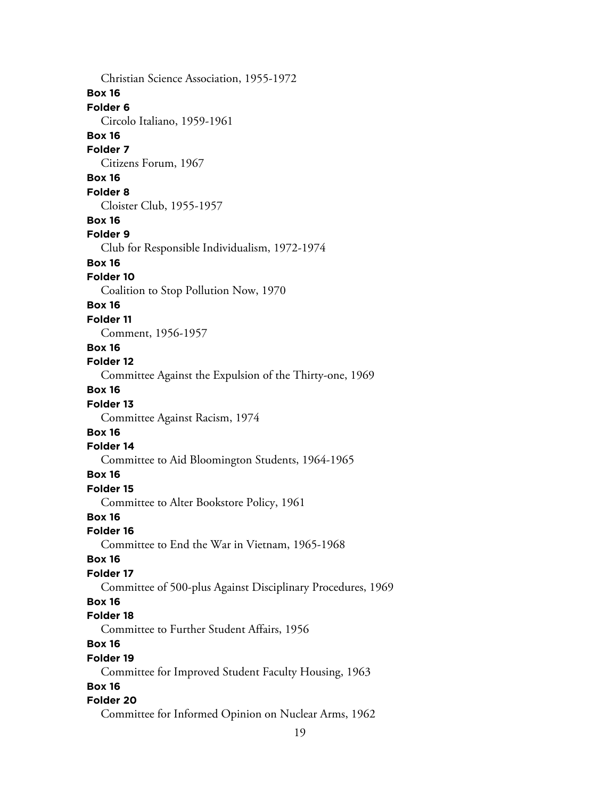Christian Science Association, 1955-1972 **Box 16 Folder 6** Circolo Italiano, 1959-1961 **Box 16 Folder 7** Citizens Forum, 1967 **Box 16 Folder 8** Cloister Club, 1955-1957 **Box 16 Folder 9** Club for Responsible Individualism, 1972-1974 **Box 16 Folder 10** Coalition to Stop Pollution Now, 1970 **Box 16 Folder 11** Comment, 1956-1957 **Box 16 Folder 12** Committee Against the Expulsion of the Thirty-one, 1969 **Box 16 Folder 13** Committee Against Racism, 1974 **Box 16 Folder 14** Committee to Aid Bloomington Students, 1964-1965 **Box 16 Folder 15** Committee to Alter Bookstore Policy, 1961 **Box 16 Folder 16** Committee to End the War in Vietnam, 1965-1968 **Box 16 Folder 17** Committee of 500-plus Against Disciplinary Procedures, 1969 **Box 16 Folder 18** Committee to Further Student Affairs, 1956 **Box 16 Folder 19** Committee for Improved Student Faculty Housing, 1963 **Box 16 Folder 20** Committee for Informed Opinion on Nuclear Arms, 1962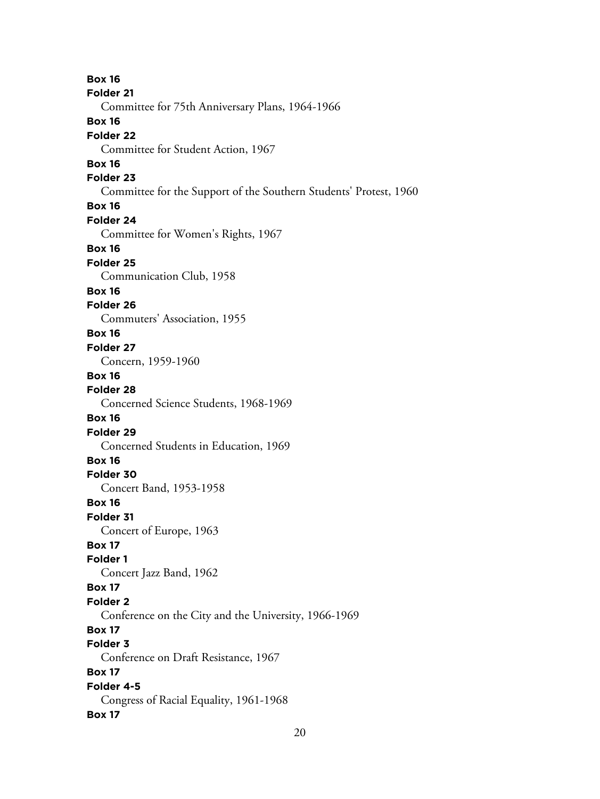**Box 16 Folder 21** Committee for 75th Anniversary Plans, 1964-1966 **Box 16 Folder 22** Committee for Student Action, 1967 **Box 16 Folder 23** Committee for the Support of the Southern Students' Protest, 1960 **Box 16 Folder 24** Committee for Women's Rights, 1967 **Box 16 Folder 25** Communication Club, 1958 **Box 16 Folder 26** Commuters' Association, 1955 **Box 16 Folder 27** Concern, 1959-1960 **Box 16 Folder 28** Concerned Science Students, 1968-1969 **Box 16 Folder 29** Concerned Students in Education, 1969 **Box 16 Folder 30** Concert Band, 1953-1958 **Box 16 Folder 31** Concert of Europe, 1963 **Box 17 Folder 1** Concert Jazz Band, 1962 **Box 17 Folder 2** Conference on the City and the University, 1966-1969 **Box 17 Folder 3** Conference on Draft Resistance, 1967 **Box 17 Folder 4-5** Congress of Racial Equality, 1961-1968 **Box 17**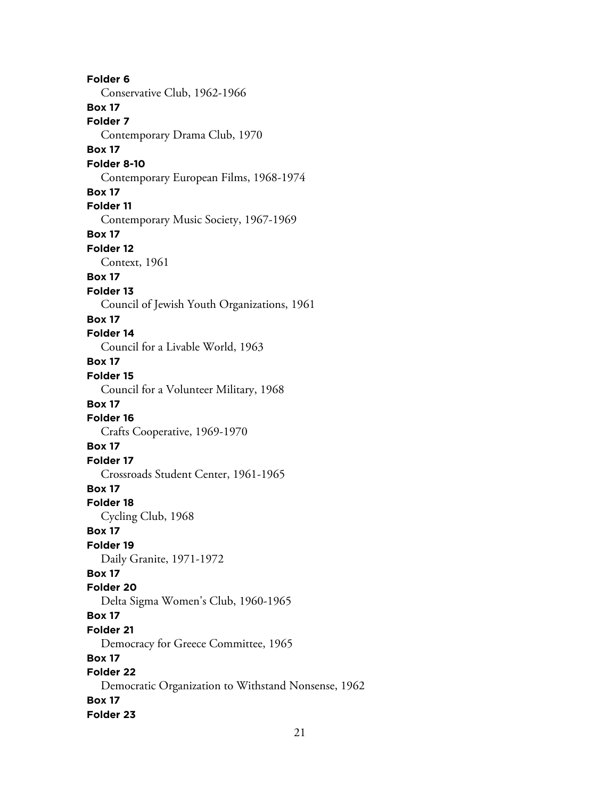**Folder 6** Conservative Club, 1962-1966 **Box 17 Folder 7** Contemporary Drama Club, 1970 **Box 17 Folder 8-10** Contemporary European Films, 1968-1974 **Box 17 Folder 11** Contemporary Music Society, 1967-1969 **Box 17 Folder 12** Context, 1961 **Box 17 Folder 13** Council of Jewish Youth Organizations, 1961 **Box 17 Folder 14** Council for a Livable World, 1963 **Box 17 Folder 15** Council for a Volunteer Military, 1968 **Box 17 Folder 16** Crafts Cooperative, 1969-1970 **Box 17 Folder 17** Crossroads Student Center, 1961-1965 **Box 17 Folder 18** Cycling Club, 1968 **Box 17 Folder 19** Daily Granite, 1971-1972 **Box 17 Folder 20** Delta Sigma Women's Club, 1960-1965 **Box 17 Folder 21** Democracy for Greece Committee, 1965 **Box 17 Folder 22** Democratic Organization to Withstand Nonsense, 1962 **Box 17 Folder 23**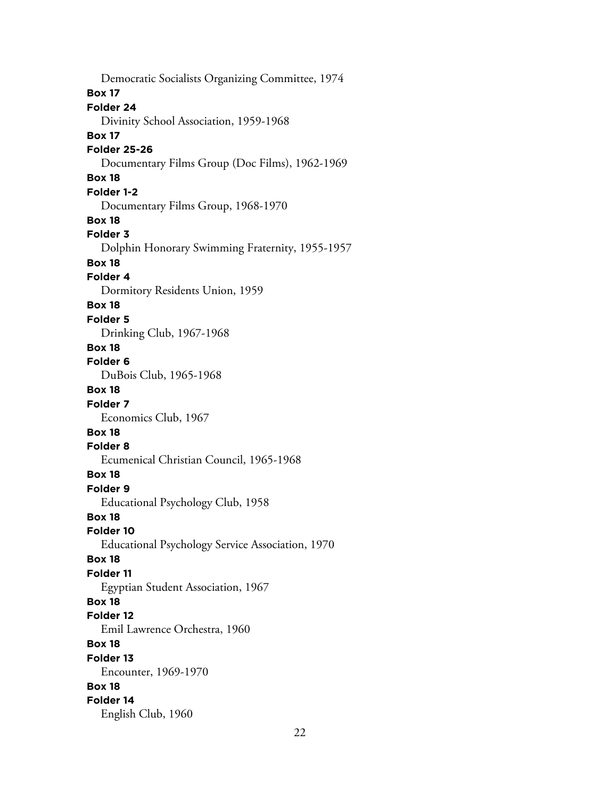Democratic Socialists Organizing Committee, 1974 **Box 17 Folder 24** Divinity School Association, 1959-1968 **Box 17 Folder 25-26** Documentary Films Group (Doc Films), 1962-1969 **Box 18 Folder 1-2** Documentary Films Group, 1968-1970 **Box 18 Folder 3** Dolphin Honorary Swimming Fraternity, 1955-1957 **Box 18 Folder 4** Dormitory Residents Union, 1959 **Box 18 Folder 5** Drinking Club, 1967-1968 **Box 18 Folder 6** DuBois Club, 1965-1968 **Box 18 Folder 7** Economics Club, 1967 **Box 18 Folder 8** Ecumenical Christian Council, 1965-1968 **Box 18 Folder 9** Educational Psychology Club, 1958 **Box 18 Folder 10** Educational Psychology Service Association, 1970 **Box 18 Folder 11** Egyptian Student Association, 1967 **Box 18 Folder 12** Emil Lawrence Orchestra, 1960 **Box 18 Folder 13** Encounter, 1969-1970 **Box 18 Folder 14** English Club, 1960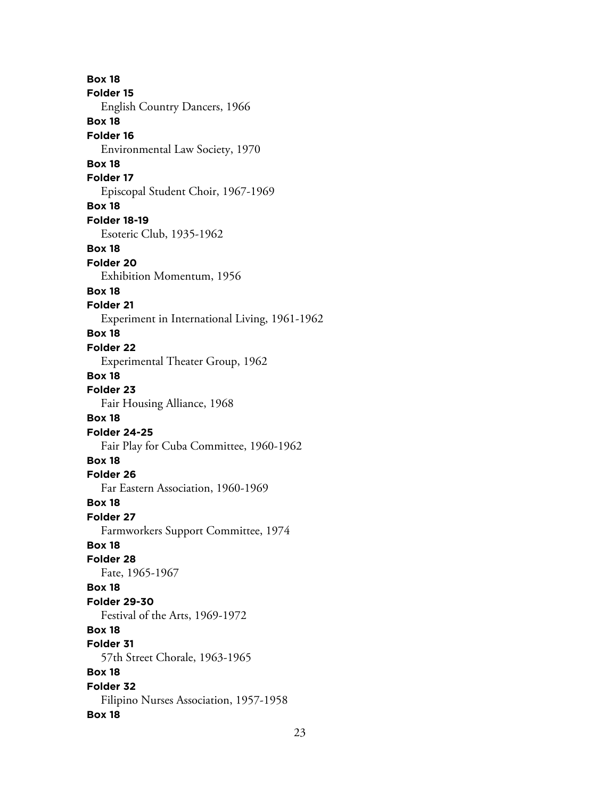**Box 18 Folder 15** English Country Dancers, 1966 **Box 18 Folder 16** Environmental Law Society, 1970 **Box 18 Folder 17** Episcopal Student Choir, 1967-1969 **Box 18 Folder 18-19** Esoteric Club, 1935-1962 **Box 18 Folder 20** Exhibition Momentum, 1956 **Box 18 Folder 21** Experiment in International Living, 1961-1962 **Box 18 Folder 22** Experimental Theater Group, 1962 **Box 18 Folder 23** Fair Housing Alliance, 1968 **Box 18 Folder 24-25** Fair Play for Cuba Committee, 1960-1962 **Box 18 Folder 26** Far Eastern Association, 1960-1969 **Box 18 Folder 27** Farmworkers Support Committee, 1974 **Box 18 Folder 28** Fate, 1965-1967 **Box 18 Folder 29-30** Festival of the Arts, 1969-1972 **Box 18 Folder 31** 57th Street Chorale, 1963-1965 **Box 18 Folder 32** Filipino Nurses Association, 1957-1958 **Box 18**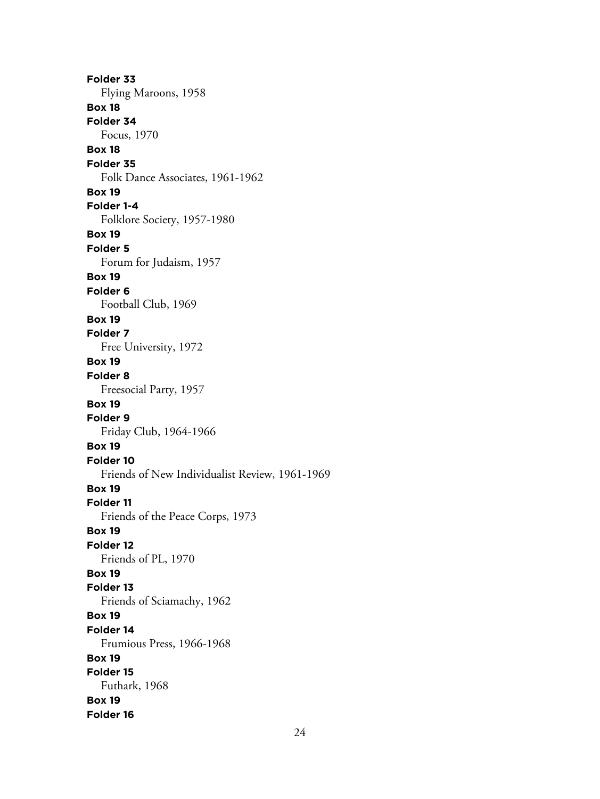**Folder 33** Flying Maroons, 1958 **Box 18 Folder 34** Focus, 1970 **Box 18 Folder 35** Folk Dance Associates, 1961-1962 **Box 19 Folder 1-4** Folklore Society, 1957-1980 **Box 19 Folder 5** Forum for Judaism, 1957 **Box 19 Folder 6** Football Club, 1969 **Box 19 Folder 7** Free University, 1972 **Box 19 Folder 8** Freesocial Party, 1957 **Box 19 Folder 9** Friday Club, 1964-1966 **Box 19 Folder 10** Friends of New Individualist Review, 1961-1969 **Box 19 Folder 11** Friends of the Peace Corps, 1973 **Box 19 Folder 12** Friends of PL, 1970 **Box 19 Folder 13** Friends of Sciamachy, 1962 **Box 19 Folder 14** Frumious Press, 1966-1968 **Box 19 Folder 15** Futhark, 1968 **Box 19 Folder 16**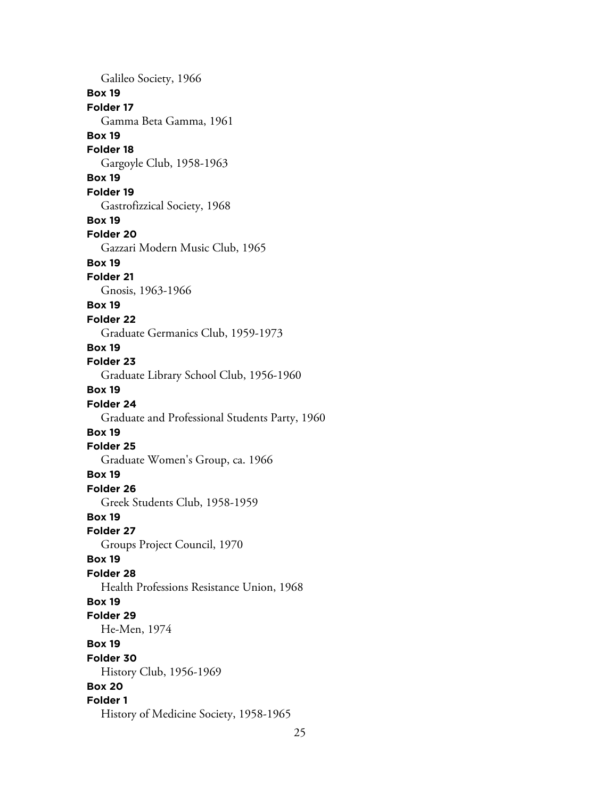Galileo Society, 1966 **Box 19 Folder 17** Gamma Beta Gamma, 1961 **Box 19 Folder 18** Gargoyle Club, 1958-1963 **Box 19 Folder 19** Gastrofizzical Society, 1968 **Box 19 Folder 20** Gazzari Modern Music Club, 1965 **Box 19 Folder 21** Gnosis, 1963-1966 **Box 19 Folder 22** Graduate Germanics Club, 1959-1973 **Box 19 Folder 23** Graduate Library School Club, 1956-1960 **Box 19 Folder 24** Graduate and Professional Students Party, 1960 **Box 19 Folder 25** Graduate Women's Group, ca. 1966 **Box 19 Folder 26** Greek Students Club, 1958-1959 **Box 19 Folder 27** Groups Project Council, 1970 **Box 19 Folder 28** Health Professions Resistance Union, 1968 **Box 19 Folder 29** He-Men, 1974 **Box 19 Folder 30** History Club, 1956-1969 **Box 20 Folder 1** History of Medicine Society, 1958-1965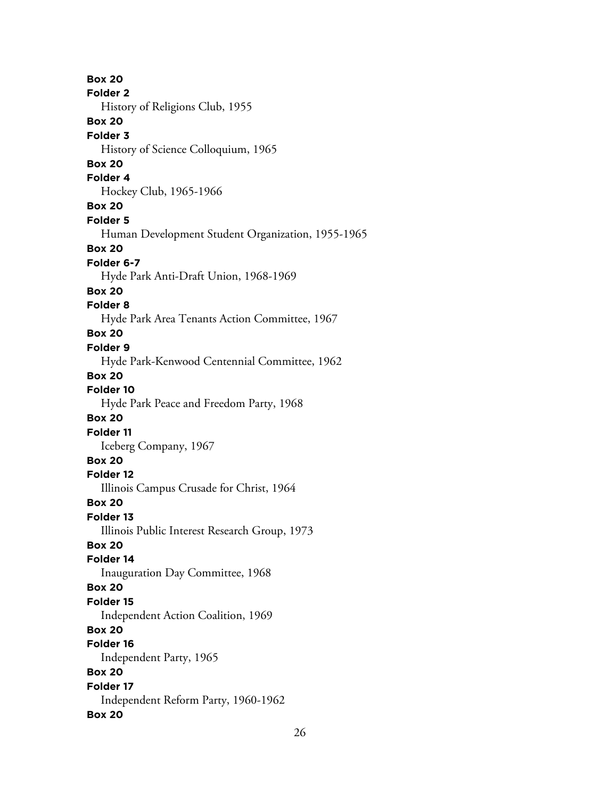**Box 20 Folder 2** History of Religions Club, 1955 **Box 20 Folder 3** History of Science Colloquium, 1965 **Box 20 Folder 4** Hockey Club, 1965-1966 **Box 20 Folder 5** Human Development Student Organization, 1955-1965 **Box 20 Folder 6-7** Hyde Park Anti-Draft Union, 1968-1969 **Box 20 Folder 8** Hyde Park Area Tenants Action Committee, 1967 **Box 20 Folder 9** Hyde Park-Kenwood Centennial Committee, 1962 **Box 20 Folder 10** Hyde Park Peace and Freedom Party, 1968 **Box 20 Folder 11** Iceberg Company, 1967 **Box 20 Folder 12** Illinois Campus Crusade for Christ, 1964 **Box 20 Folder 13** Illinois Public Interest Research Group, 1973 **Box 20 Folder 14** Inauguration Day Committee, 1968 **Box 20 Folder 15** Independent Action Coalition, 1969 **Box 20 Folder 16** Independent Party, 1965 **Box 20 Folder 17** Independent Reform Party, 1960-1962 **Box 20**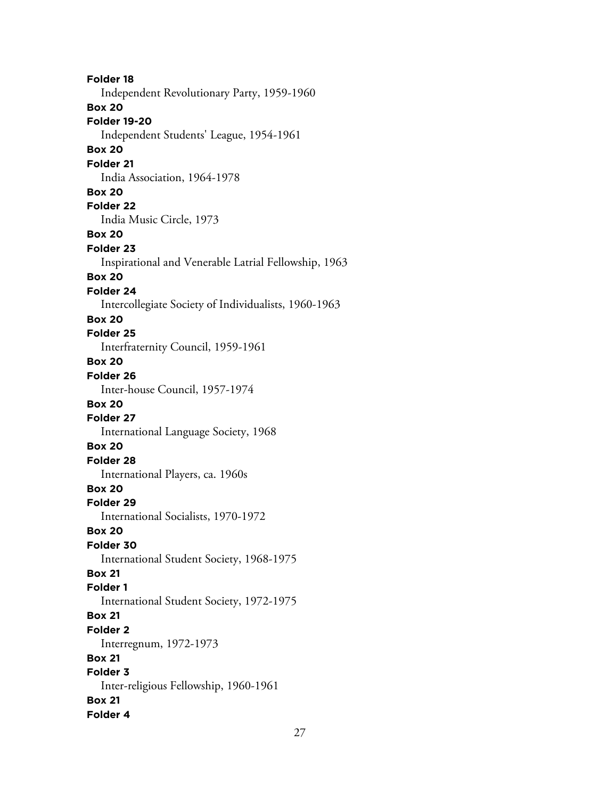**Folder 18** Independent Revolutionary Party, 1959-1960 **Box 20 Folder 19-20** Independent Students' League, 1954-1961 **Box 20 Folder 21** India Association, 1964-1978 **Box 20 Folder 22** India Music Circle, 1973 **Box 20 Folder 23** Inspirational and Venerable Latrial Fellowship, 1963 **Box 20 Folder 24** Intercollegiate Society of Individualists, 1960-1963 **Box 20 Folder 25** Interfraternity Council, 1959-1961 **Box 20 Folder 26** Inter-house Council, 1957-1974 **Box 20 Folder 27** International Language Society, 1968 **Box 20 Folder 28** International Players, ca. 1960s **Box 20 Folder 29** International Socialists, 1970-1972 **Box 20 Folder 30** International Student Society, 1968-1975 **Box 21 Folder 1** International Student Society, 1972-1975 **Box 21 Folder 2** Interregnum, 1972-1973 **Box 21 Folder 3** Inter-religious Fellowship, 1960-1961 **Box 21 Folder 4**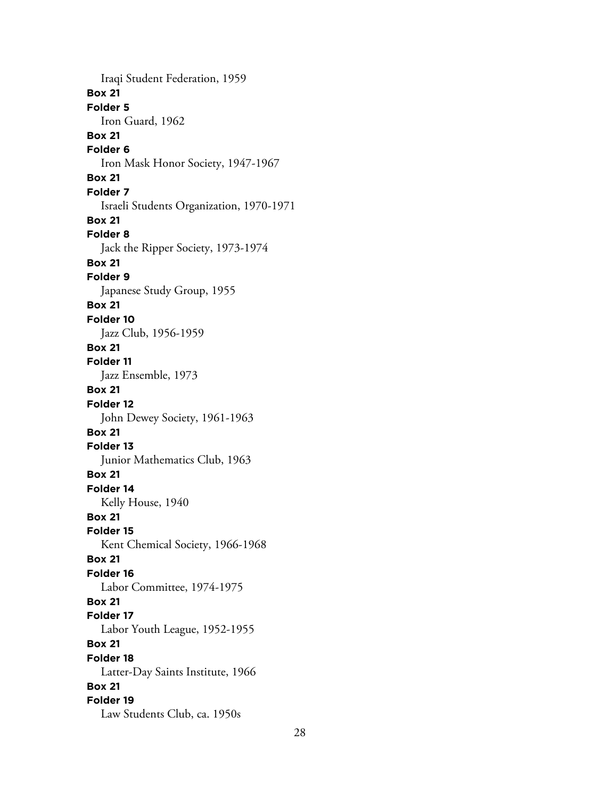Iraqi Student Federation, 1959 **Box 21 Folder 5** Iron Guard, 1962 **Box 21 Folder 6** Iron Mask Honor Society, 1947-1967 **Box 21 Folder 7** Israeli Students Organization, 1970-1971 **Box 21 Folder 8** Jack the Ripper Society, 1973-1974 **Box 21 Folder 9** Japanese Study Group, 1955 **Box 21 Folder 10** Jazz Club, 1956-1959 **Box 21 Folder 11** Jazz Ensemble, 1973 **Box 21 Folder 12** John Dewey Society, 1961-1963 **Box 21 Folder 13** Junior Mathematics Club, 1963 **Box 21 Folder 14** Kelly House, 1940 **Box 21 Folder 15** Kent Chemical Society, 1966-1968 **Box 21 Folder 16** Labor Committee, 1974-1975 **Box 21 Folder 17** Labor Youth League, 1952-1955 **Box 21 Folder 18** Latter-Day Saints Institute, 1966 **Box 21 Folder 19** Law Students Club, ca. 1950s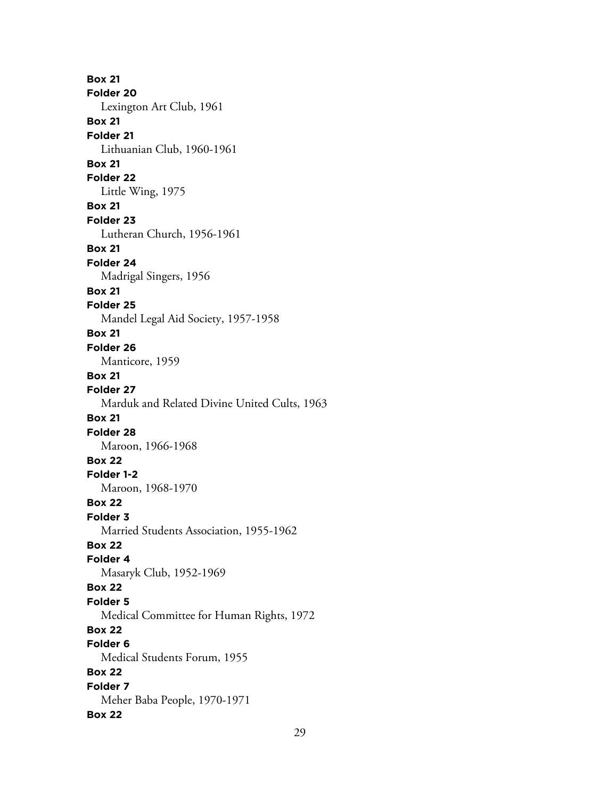**Box 21 Folder 20** Lexington Art Club, 1961 **Box 21 Folder 21** Lithuanian Club, 1960-1961 **Box 21 Folder 22** Little Wing, 1975 **Box 21 Folder 23** Lutheran Church, 1956-1961 **Box 21 Folder 24** Madrigal Singers, 1956 **Box 21 Folder 25** Mandel Legal Aid Society, 1957-1958 **Box 21 Folder 26** Manticore, 1959 **Box 21 Folder 27** Marduk and Related Divine United Cults, 1963 **Box 21 Folder 28** Maroon, 1966-1968 **Box 22 Folder 1-2** Maroon, 1968-1970 **Box 22 Folder 3** Married Students Association, 1955-1962 **Box 22 Folder 4** Masaryk Club, 1952-1969 **Box 22 Folder 5** Medical Committee for Human Rights, 1972 **Box 22 Folder 6** Medical Students Forum, 1955 **Box 22 Folder 7** Meher Baba People, 1970-1971 **Box 22**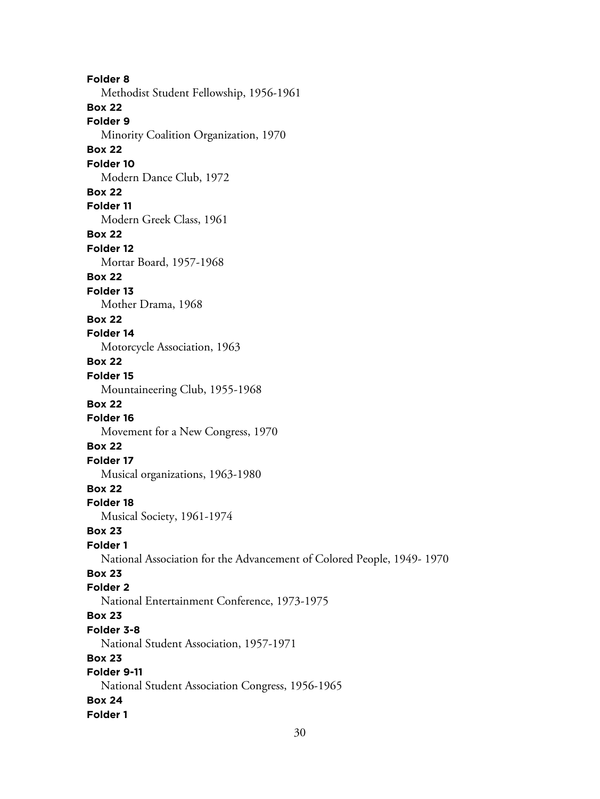**Folder 8** Methodist Student Fellowship, 1956-1961 **Box 22 Folder 9** Minority Coalition Organization, 1970 **Box 22 Folder 10** Modern Dance Club, 1972 **Box 22 Folder 11** Modern Greek Class, 1961 **Box 22 Folder 12** Mortar Board, 1957-1968 **Box 22 Folder 13** Mother Drama, 1968 **Box 22 Folder 14** Motorcycle Association, 1963 **Box 22 Folder 15** Mountaineering Club, 1955-1968 **Box 22 Folder 16** Movement for a New Congress, 1970 **Box 22 Folder 17** Musical organizations, 1963-1980 **Box 22 Folder 18** Musical Society, 1961-1974 **Box 23 Folder 1** National Association for the Advancement of Colored People, 1949- 1970 **Box 23 Folder 2** National Entertainment Conference, 1973-1975 **Box 23 Folder 3-8** National Student Association, 1957-1971 **Box 23 Folder 9-11** National Student Association Congress, 1956-1965 **Box 24 Folder 1**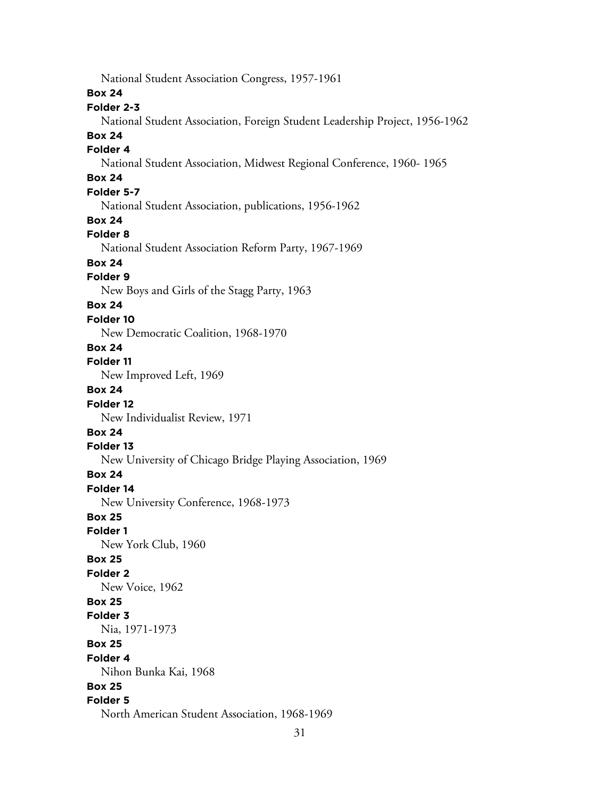National Student Association Congress, 1957-1961 **Box 24 Folder 2-3** National Student Association, Foreign Student Leadership Project, 1956-1962 **Box 24 Folder 4** National Student Association, Midwest Regional Conference, 1960- 1965 **Box 24 Folder 5-7** National Student Association, publications, 1956-1962 **Box 24 Folder 8** National Student Association Reform Party, 1967-1969 **Box 24 Folder 9** New Boys and Girls of the Stagg Party, 1963 **Box 24 Folder 10** New Democratic Coalition, 1968-1970 **Box 24 Folder 11** New Improved Left, 1969 **Box 24 Folder 12** New Individualist Review, 1971 **Box 24 Folder 13** New University of Chicago Bridge Playing Association, 1969 **Box 24 Folder 14** New University Conference, 1968-1973 **Box 25 Folder 1** New York Club, 1960 **Box 25 Folder 2** New Voice, 1962 **Box 25 Folder 3** Nia, 1971-1973 **Box 25 Folder 4** Nihon Bunka Kai, 1968 **Box 25 Folder 5** North American Student Association, 1968-1969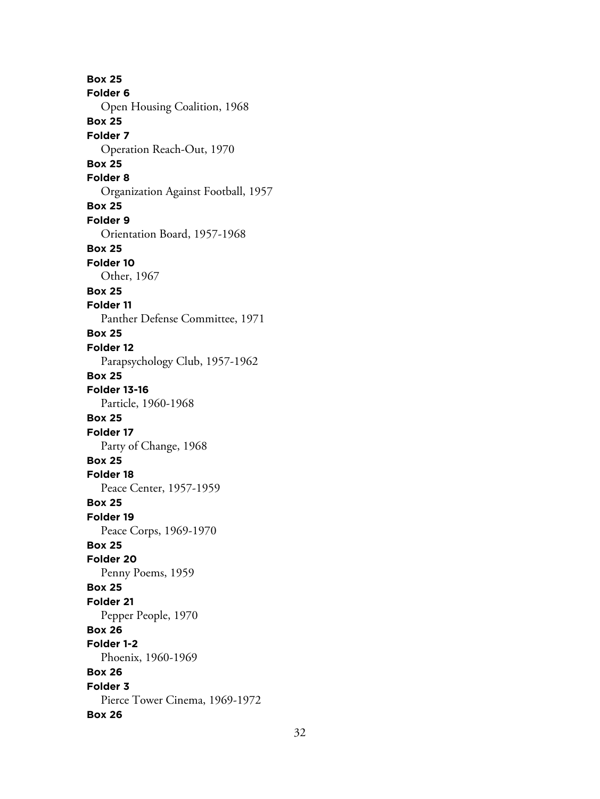**Box 25 Folder 6** Open Housing Coalition, 1968 **Box 25 Folder 7** Operation Reach-Out, 1970 **Box 25 Folder 8** Organization Against Football, 1957 **Box 25 Folder 9** Orientation Board, 1957-1968 **Box 25 Folder 10** Other, 1967 **Box 25 Folder 11** Panther Defense Committee, 1971 **Box 25 Folder 12** Parapsychology Club, 1957-1962 **Box 25 Folder 13-16** Particle, 1960-1968 **Box 25 Folder 17** Party of Change, 1968 **Box 25 Folder 18** Peace Center, 1957-1959 **Box 25 Folder 19** Peace Corps, 1969-1970 **Box 25 Folder 20** Penny Poems, 1959 **Box 25 Folder 21** Pepper People, 1970 **Box 26 Folder 1-2** Phoenix, 1960-1969 **Box 26 Folder 3** Pierce Tower Cinema, 1969-1972 **Box 26**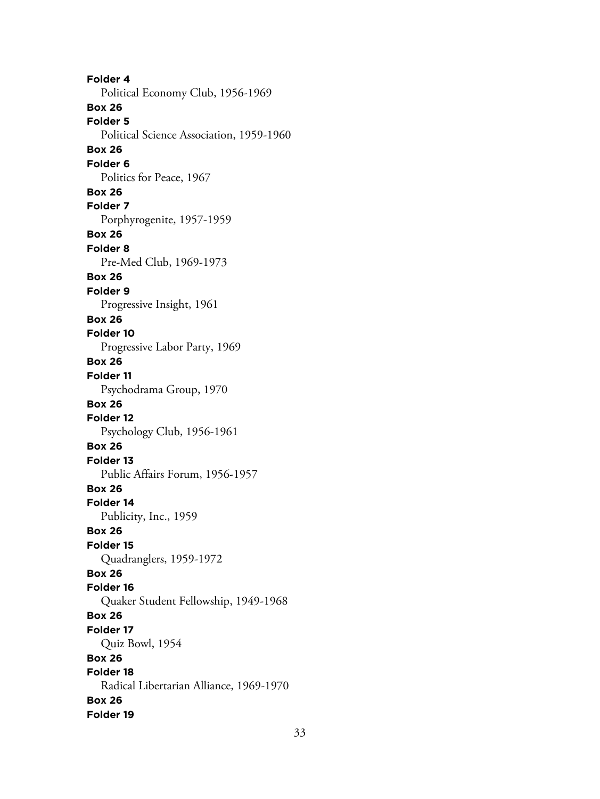**Folder 4** Political Economy Club, 1956-1969 **Box 26 Folder 5** Political Science Association, 1959-1960 **Box 26 Folder 6** Politics for Peace, 1967 **Box 26 Folder 7** Porphyrogenite, 1957-1959 **Box 26 Folder 8** Pre-Med Club, 1969-1973 **Box 26 Folder 9** Progressive Insight, 1961 **Box 26 Folder 10** Progressive Labor Party, 1969 **Box 26 Folder 11** Psychodrama Group, 1970 **Box 26 Folder 12** Psychology Club, 1956-1961 **Box 26 Folder 13** Public Affairs Forum, 1956-1957 **Box 26 Folder 14** Publicity, Inc., 1959 **Box 26 Folder 15** Quadranglers, 1959-1972 **Box 26 Folder 16** Quaker Student Fellowship, 1949-1968 **Box 26 Folder 17** Quiz Bowl, 1954 **Box 26 Folder 18** Radical Libertarian Alliance, 1969-1970 **Box 26 Folder 19**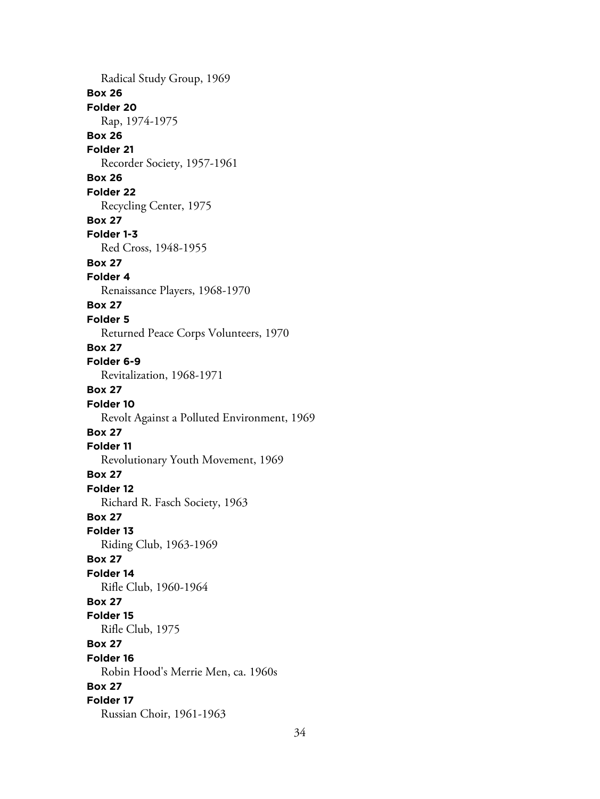Radical Study Group, 1969 **Box 26 Folder 20** Rap, 1974-1975 **Box 26 Folder 21** Recorder Society, 1957-1961 **Box 26 Folder 22** Recycling Center, 1975 **Box 27 Folder 1-3** Red Cross, 1948-1955 **Box 27 Folder 4** Renaissance Players, 1968-1970 **Box 27 Folder 5** Returned Peace Corps Volunteers, 1970 **Box 27 Folder 6-9** Revitalization, 1968-1971 **Box 27 Folder 10** Revolt Against a Polluted Environment, 1969 **Box 27 Folder 11** Revolutionary Youth Movement, 1969 **Box 27 Folder 12** Richard R. Fasch Society, 1963 **Box 27 Folder 13** Riding Club, 1963-1969 **Box 27 Folder 14** Rifle Club, 1960-1964 **Box 27 Folder 15** Rifle Club, 1975 **Box 27 Folder 16** Robin Hood's Merrie Men, ca. 1960s **Box 27 Folder 17** Russian Choir, 1961-1963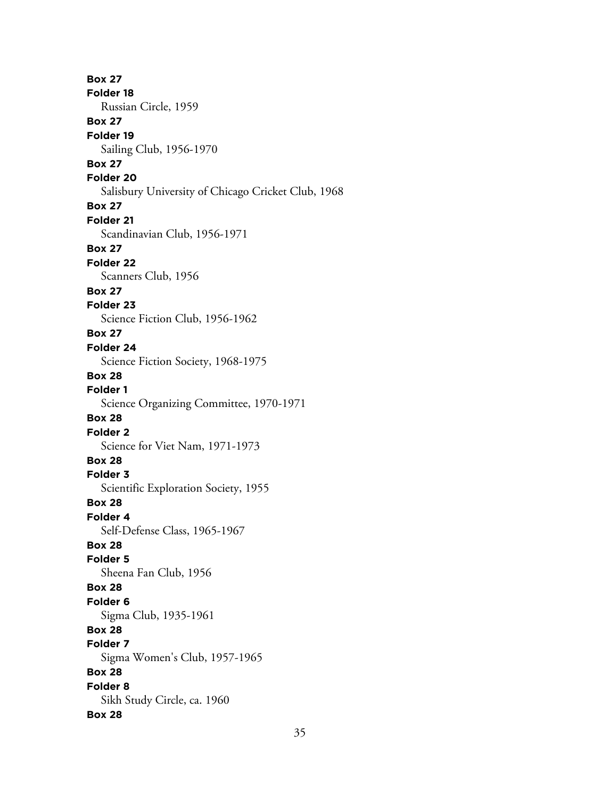**Box 27 Folder 18** Russian Circle, 1959 **Box 27 Folder 19** Sailing Club, 1956-1970 **Box 27 Folder 20** Salisbury University of Chicago Cricket Club, 1968 **Box 27 Folder 21** Scandinavian Club, 1956-1971 **Box 27 Folder 22** Scanners Club, 1956 **Box 27 Folder 23** Science Fiction Club, 1956-1962 **Box 27 Folder 24** Science Fiction Society, 1968-1975 **Box 28 Folder 1** Science Organizing Committee, 1970-1971 **Box 28 Folder 2** Science for Viet Nam, 1971-1973 **Box 28 Folder 3** Scientific Exploration Society, 1955 **Box 28 Folder 4** Self-Defense Class, 1965-1967 **Box 28 Folder 5** Sheena Fan Club, 1956 **Box 28 Folder 6** Sigma Club, 1935-1961 **Box 28 Folder 7** Sigma Women's Club, 1957-1965 **Box 28 Folder 8** Sikh Study Circle, ca. 1960 **Box 28**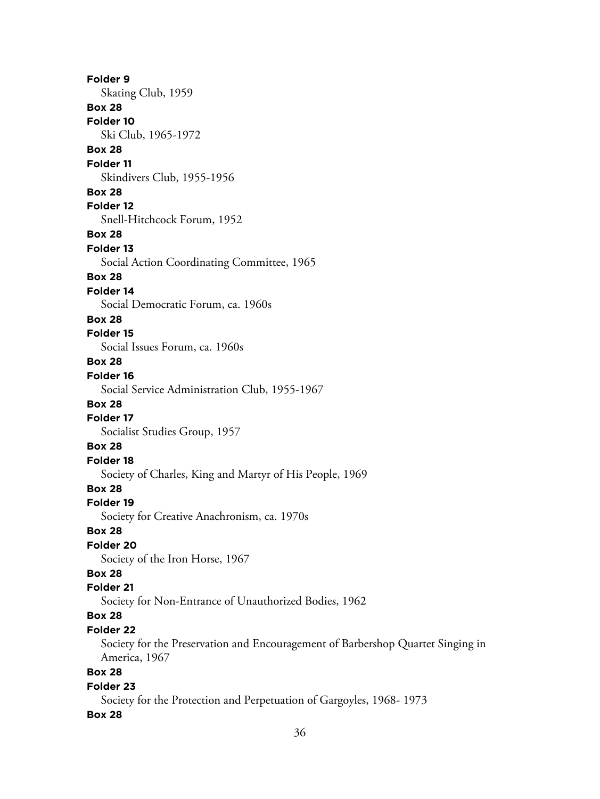**Folder 9** Skating Club, 1959 **Box 28 Folder 10** Ski Club, 1965-1972 **Box 28 Folder 11** Skindivers Club, 1955-1956 **Box 28 Folder 12** Snell-Hitchcock Forum, 1952 **Box 28 Folder 13** Social Action Coordinating Committee, 1965 **Box 28 Folder 14** Social Democratic Forum, ca. 1960s **Box 28 Folder 15** Social Issues Forum, ca. 1960s **Box 28 Folder 16** Social Service Administration Club, 1955-1967 **Box 28 Folder 17** Socialist Studies Group, 1957 **Box 28 Folder 18** Society of Charles, King and Martyr of His People, 1969 **Box 28 Folder 19** Society for Creative Anachronism, ca. 1970s **Box 28 Folder 20** Society of the Iron Horse, 1967 **Box 28 Folder 21** Society for Non-Entrance of Unauthorized Bodies, 1962 **Box 28 Folder 22** Society for the Preservation and Encouragement of Barbershop Quartet Singing in America, 1967 **Box 28 Folder 23** Society for the Protection and Perpetuation of Gargoyles, 1968- 1973 **Box 28**

36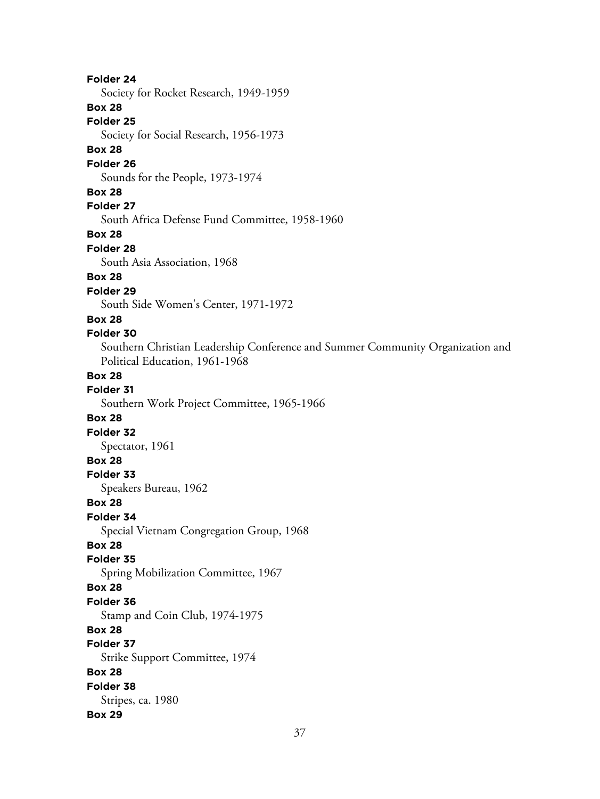# **Folder 24** Society for Rocket Research, 1949-1959 **Box 28 Folder 25** Society for Social Research, 1956-1973 **Box 28 Folder 26** Sounds for the People, 1973-1974 **Box 28 Folder 27** South Africa Defense Fund Committee, 1958-1960 **Box 28 Folder 28** South Asia Association, 1968 **Box 28 Folder 29** South Side Women's Center, 1971-1972 **Box 28 Folder 30** Southern Christian Leadership Conference and Summer Community Organization and Political Education, 1961-1968 **Box 28 Folder 31** Southern Work Project Committee, 1965-1966 **Box 28 Folder 32** Spectator, 1961 **Box 28 Folder 33** Speakers Bureau, 1962 **Box 28 Folder 34** Special Vietnam Congregation Group, 1968 **Box 28 Folder 35** Spring Mobilization Committee, 1967 **Box 28 Folder 36** Stamp and Coin Club, 1974-1975 **Box 28 Folder 37** Strike Support Committee, 1974 **Box 28 Folder 38** Stripes, ca. 1980 **Box 29**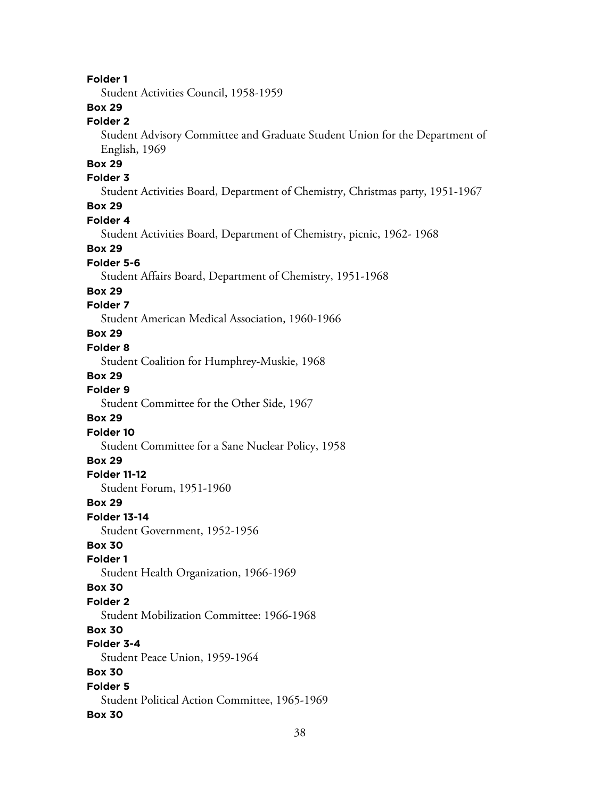# **Folder 1**

Student Activities Council, 1958-1959

# **Box 29**

# **Folder 2**

Student Advisory Committee and Graduate Student Union for the Department of English, 1969

# **Box 29**

# **Folder 3**

Student Activities Board, Department of Chemistry, Christmas party, 1951-1967

# **Box 29**

#### **Folder 4**

Student Activities Board, Department of Chemistry, picnic, 1962- 1968

#### **Box 29**

#### **Folder 5-6**

Student Affairs Board, Department of Chemistry, 1951-1968

#### **Box 29**

# **Folder 7**

Student American Medical Association, 1960-1966

# **Box 29**

#### **Folder 8**

Student Coalition for Humphrey-Muskie, 1968

#### **Box 29**

**Folder 9**

Student Committee for the Other Side, 1967

# **Box 29**

**Folder 10** Student Committee for a Sane Nuclear Policy, 1958

#### **Box 29**

#### **Folder 11-12**

Student Forum, 1951-1960

#### **Box 29**

**Folder 13-14**

Student Government, 1952-1956

# **Box 30**

#### **Folder 1**

Student Health Organization, 1966-1969

#### **Box 30**

#### **Folder 2**

Student Mobilization Committee: 1966-1968

## **Box 30**

# **Folder 3-4**

Student Peace Union, 1959-1964

# **Box 30**

# **Folder 5** Student Political Action Committee, 1965-1969

#### **Box 30**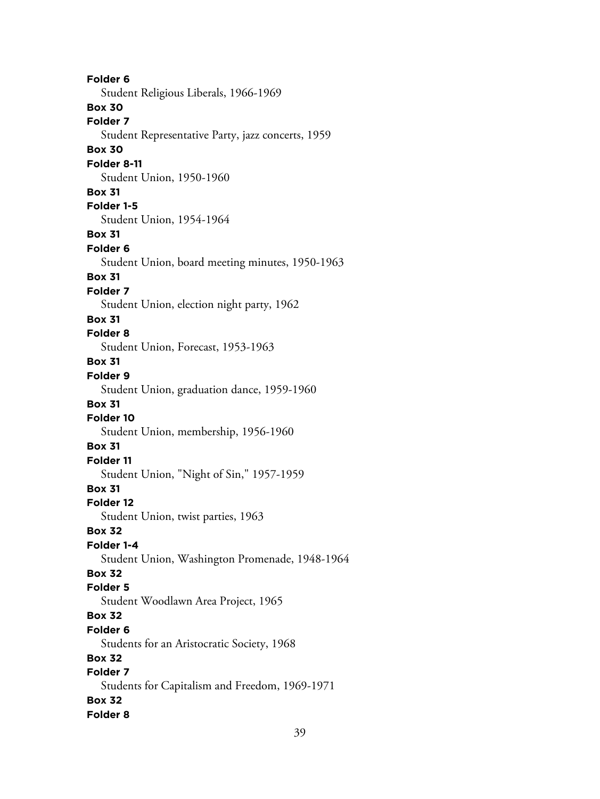**Folder 6** Student Religious Liberals, 1966-1969 **Box 30 Folder 7** Student Representative Party, jazz concerts, 1959 **Box 30 Folder 8-11** Student Union, 1950-1960 **Box 31 Folder 1-5** Student Union, 1954-1964 **Box 31 Folder 6** Student Union, board meeting minutes, 1950-1963 **Box 31 Folder 7** Student Union, election night party, 1962 **Box 31 Folder 8** Student Union, Forecast, 1953-1963 **Box 31 Folder 9** Student Union, graduation dance, 1959-1960 **Box 31 Folder 10** Student Union, membership, 1956-1960 **Box 31 Folder 11** Student Union, "Night of Sin," 1957-1959 **Box 31 Folder 12** Student Union, twist parties, 1963 **Box 32 Folder 1-4** Student Union, Washington Promenade, 1948-1964 **Box 32 Folder 5** Student Woodlawn Area Project, 1965 **Box 32 Folder 6** Students for an Aristocratic Society, 1968 **Box 32 Folder 7** Students for Capitalism and Freedom, 1969-1971 **Box 32 Folder 8**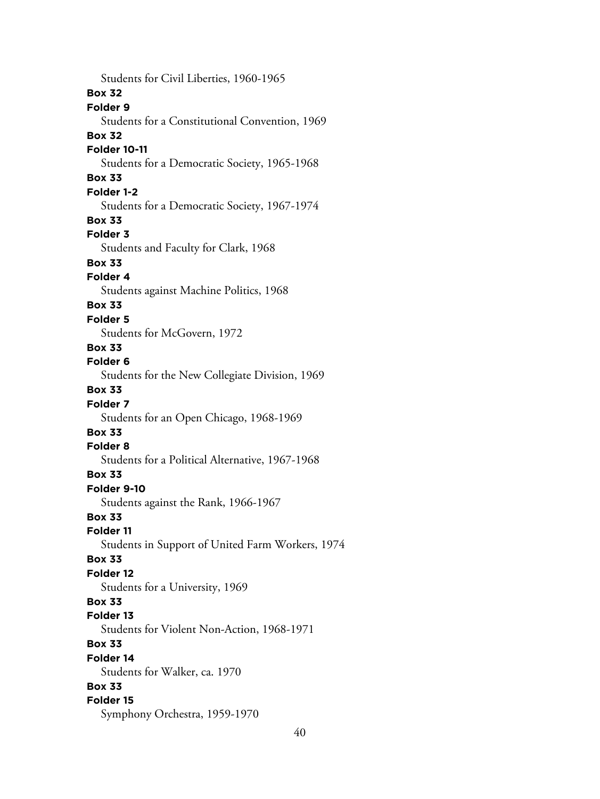Students for Civil Liberties, 1960-1965 **Box 32 Folder 9** Students for a Constitutional Convention, 1969 **Box 32 Folder 10-11** Students for a Democratic Society, 1965-1968 **Box 33 Folder 1-2** Students for a Democratic Society, 1967-1974 **Box 33 Folder 3** Students and Faculty for Clark, 1968 **Box 33 Folder 4** Students against Machine Politics, 1968 **Box 33 Folder 5** Students for McGovern, 1972 **Box 33 Folder 6** Students for the New Collegiate Division, 1969 **Box 33 Folder 7** Students for an Open Chicago, 1968-1969 **Box 33 Folder 8** Students for a Political Alternative, 1967-1968 **Box 33 Folder 9-10** Students against the Rank, 1966-1967 **Box 33 Folder 11** Students in Support of United Farm Workers, 1974 **Box 33 Folder 12** Students for a University, 1969 **Box 33 Folder 13** Students for Violent Non-Action, 1968-1971 **Box 33 Folder 14** Students for Walker, ca. 1970 **Box 33 Folder 15** Symphony Orchestra, 1959-1970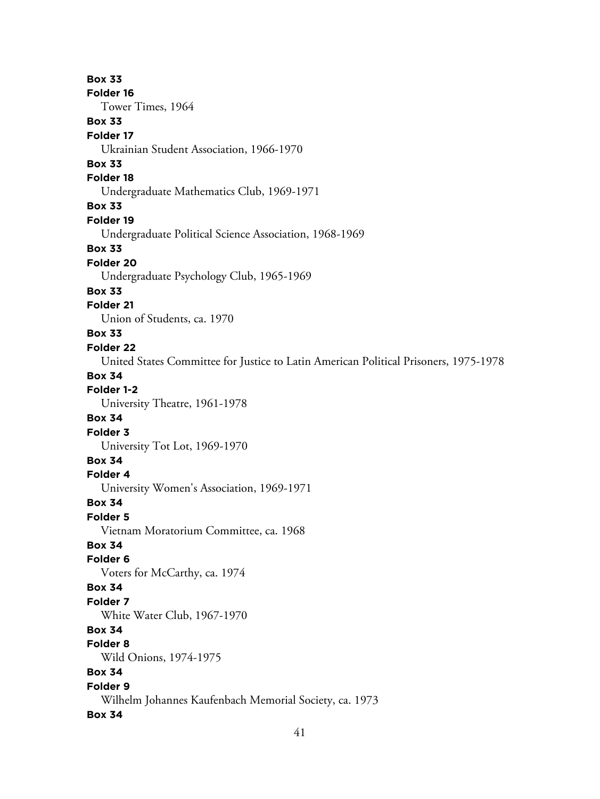**Box 33 Folder 16** Tower Times, 1964 **Box 33 Folder 17** Ukrainian Student Association, 1966-1970 **Box 33 Folder 18** Undergraduate Mathematics Club, 1969-1971 **Box 33 Folder 19** Undergraduate Political Science Association, 1968-1969 **Box 33 Folder 20** Undergraduate Psychology Club, 1965-1969 **Box 33 Folder 21** Union of Students, ca. 1970 **Box 33 Folder 22** United States Committee for Justice to Latin American Political Prisoners, 1975-1978 **Box 34 Folder 1-2** University Theatre, 1961-1978 **Box 34 Folder 3** University Tot Lot, 1969-1970 **Box 34 Folder 4** University Women's Association, 1969-1971 **Box 34 Folder 5** Vietnam Moratorium Committee, ca. 1968 **Box 34 Folder 6** Voters for McCarthy, ca. 1974 **Box 34 Folder 7** White Water Club, 1967-1970 **Box 34 Folder 8** Wild Onions, 1974-1975 **Box 34 Folder 9** Wilhelm Johannes Kaufenbach Memorial Society, ca. 1973 **Box 34**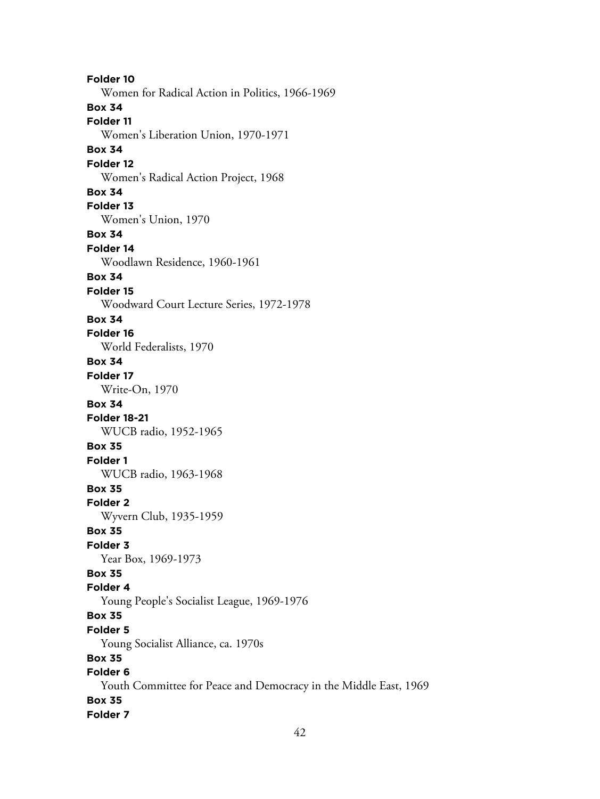**Folder 10** Women for Radical Action in Politics, 1966-1969 **Box 34 Folder 11** Women's Liberation Union, 1970-1971 **Box 34 Folder 12** Women's Radical Action Project, 1968 **Box 34 Folder 13** Women's Union, 1970 **Box 34 Folder 14** Woodlawn Residence, 1960-1961 **Box 34 Folder 15** Woodward Court Lecture Series, 1972-1978 **Box 34 Folder 16** World Federalists, 1970 **Box 34 Folder 17** Write-On, 1970 **Box 34 Folder 18-21** WUCB radio, 1952-1965 **Box 35 Folder 1** WUCB radio, 1963-1968 **Box 35 Folder 2** Wyvern Club, 1935-1959 **Box 35 Folder 3** Year Box, 1969-1973 **Box 35 Folder 4** Young People's Socialist League, 1969-1976 **Box 35 Folder 5** Young Socialist Alliance, ca. 1970s **Box 35 Folder 6** Youth Committee for Peace and Democracy in the Middle East, 1969 **Box 35 Folder 7**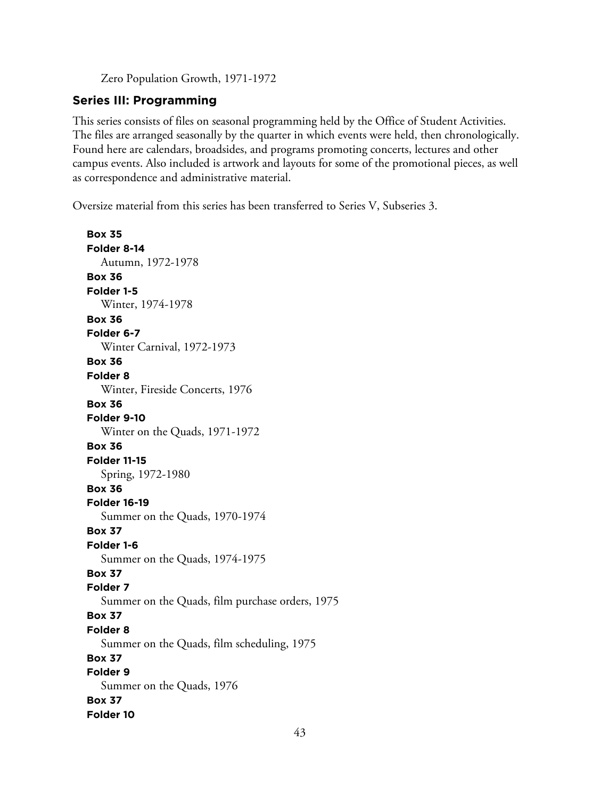Zero Population Growth, 1971-1972

# **Series III: Programming**

This series consists of files on seasonal programming held by the Office of Student Activities. The files are arranged seasonally by the quarter in which events were held, then chronologically. Found here are calendars, broadsides, and programs promoting concerts, lectures and other campus events. Also included is artwork and layouts for some of the promotional pieces, as well as correspondence and administrative material.

Oversize material from this series has been transferred to Series V, Subseries 3.

**Box 35 Folder 8-14** Autumn, 1972-1978 **Box 36 Folder 1-5** Winter, 1974-1978 **Box 36 Folder 6-7** Winter Carnival, 1972-1973 **Box 36 Folder 8** Winter, Fireside Concerts, 1976 **Box 36 Folder 9-10** Winter on the Quads, 1971-1972 **Box 36 Folder 11-15** Spring, 1972-1980 **Box 36 Folder 16-19** Summer on the Quads, 1970-1974 **Box 37 Folder 1-6** Summer on the Quads, 1974-1975 **Box 37 Folder 7** Summer on the Quads, film purchase orders, 1975 **Box 37 Folder 8** Summer on the Quads, film scheduling, 1975 **Box 37 Folder 9** Summer on the Quads, 1976 **Box 37 Folder 10**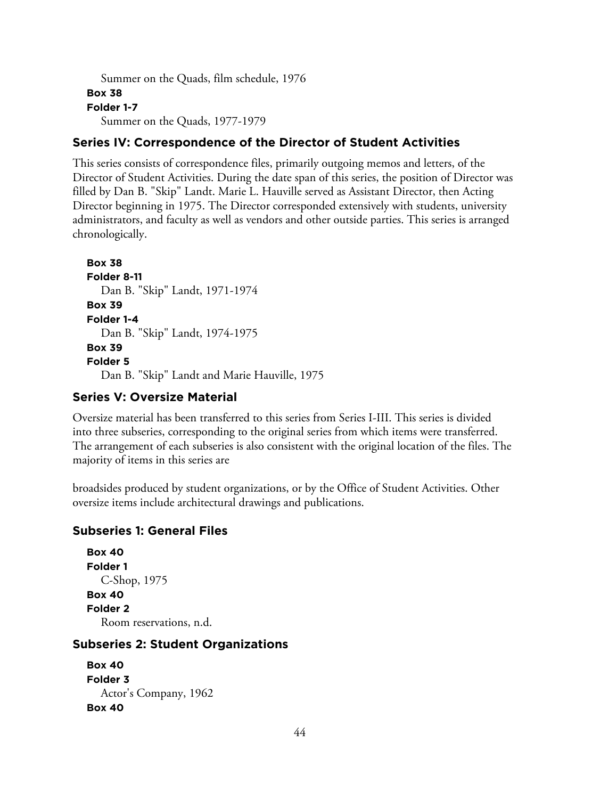```
Summer on the Quads, film schedule, 1976
Box 38
Folder 1-7
  Summer on the Quads, 1977-1979
```
# **Series IV: Correspondence of the Director of Student Activities**

This series consists of correspondence files, primarily outgoing memos and letters, of the Director of Student Activities. During the date span of this series, the position of Director was filled by Dan B. "Skip" Landt. Marie L. Hauville served as Assistant Director, then Acting Director beginning in 1975. The Director corresponded extensively with students, university administrators, and faculty as well as vendors and other outside parties. This series is arranged chronologically.

```
Box 38
Folder 8-11
  Dan B. "Skip" Landt, 1971-1974
Box 39
Folder 1-4
  Dan B. "Skip" Landt, 1974-1975
Box 39
Folder 5
  Dan B. "Skip" Landt and Marie Hauville, 1975
```
# **Series V: Oversize Material**

Oversize material has been transferred to this series from Series I-III. This series is divided into three subseries, corresponding to the original series from which items were transferred. The arrangement of each subseries is also consistent with the original location of the files. The majority of items in this series are

broadsides produced by student organizations, or by the Office of Student Activities. Other oversize items include architectural drawings and publications.

## **Subseries 1: General Files**

```
Box 40
Folder 1
  C-Shop, 1975
Box 40
Folder 2
  Room reservations, n.d.
```
# **Subseries 2: Student Organizations**

```
Box 40
Folder 3
  Actor's Company, 1962
Box 40
```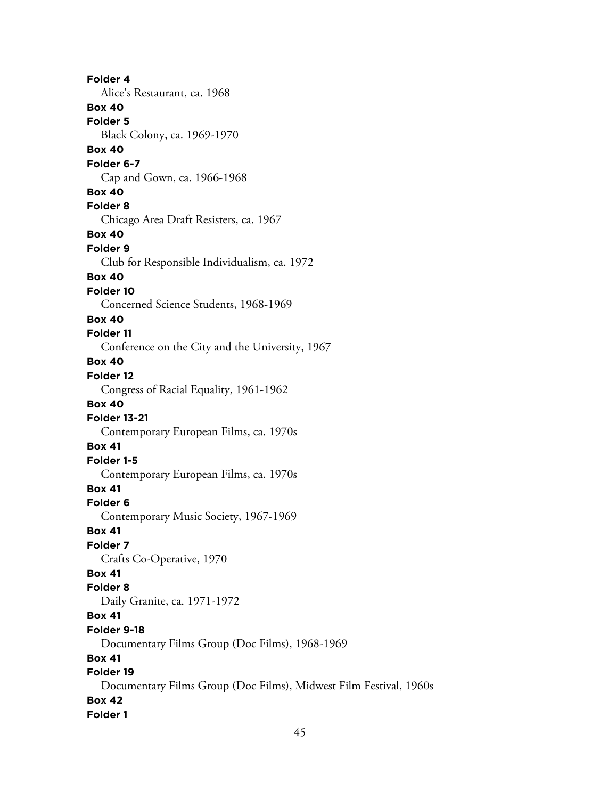**Folder 4** Alice's Restaurant, ca. 1968 **Box 40 Folder 5** Black Colony, ca. 1969-1970 **Box 40 Folder 6-7** Cap and Gown, ca. 1966-1968 **Box 40 Folder 8** Chicago Area Draft Resisters, ca. 1967 **Box 40 Folder 9** Club for Responsible Individualism, ca. 1972 **Box 40 Folder 10** Concerned Science Students, 1968-1969 **Box 40 Folder 11** Conference on the City and the University, 1967 **Box 40 Folder 12** Congress of Racial Equality, 1961-1962 **Box 40 Folder 13-21** Contemporary European Films, ca. 1970s **Box 41 Folder 1-5** Contemporary European Films, ca. 1970s **Box 41 Folder 6** Contemporary Music Society, 1967-1969 **Box 41 Folder 7** Crafts Co-Operative, 1970 **Box 41 Folder 8** Daily Granite, ca. 1971-1972 **Box 41 Folder 9-18** Documentary Films Group (Doc Films), 1968-1969 **Box 41 Folder 19** Documentary Films Group (Doc Films), Midwest Film Festival, 1960s **Box 42 Folder 1**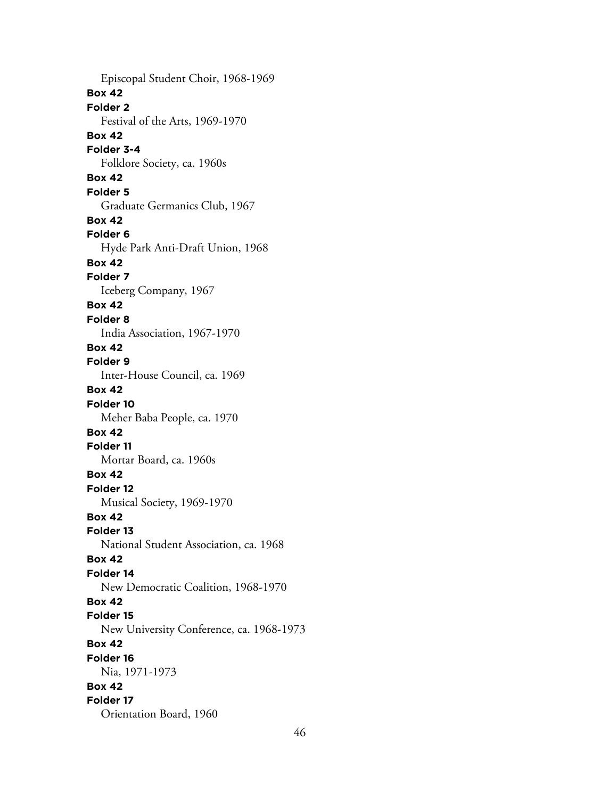Episcopal Student Choir, 1968-1969 **Box 42 Folder 2** Festival of the Arts, 1969-1970 **Box 42 Folder 3-4** Folklore Society, ca. 1960s **Box 42 Folder 5** Graduate Germanics Club, 1967 **Box 42 Folder 6** Hyde Park Anti-Draft Union, 1968 **Box 42 Folder 7** Iceberg Company, 1967 **Box 42 Folder 8** India Association, 1967-1970 **Box 42 Folder 9** Inter-House Council, ca. 1969 **Box 42 Folder 10** Meher Baba People, ca. 1970 **Box 42 Folder 11** Mortar Board, ca. 1960s **Box 42 Folder 12** Musical Society, 1969-1970 **Box 42 Folder 13** National Student Association, ca. 1968 **Box 42 Folder 14** New Democratic Coalition, 1968-1970 **Box 42 Folder 15** New University Conference, ca. 1968-1973 **Box 42 Folder 16** Nia, 1971-1973 **Box 42 Folder 17** Orientation Board, 1960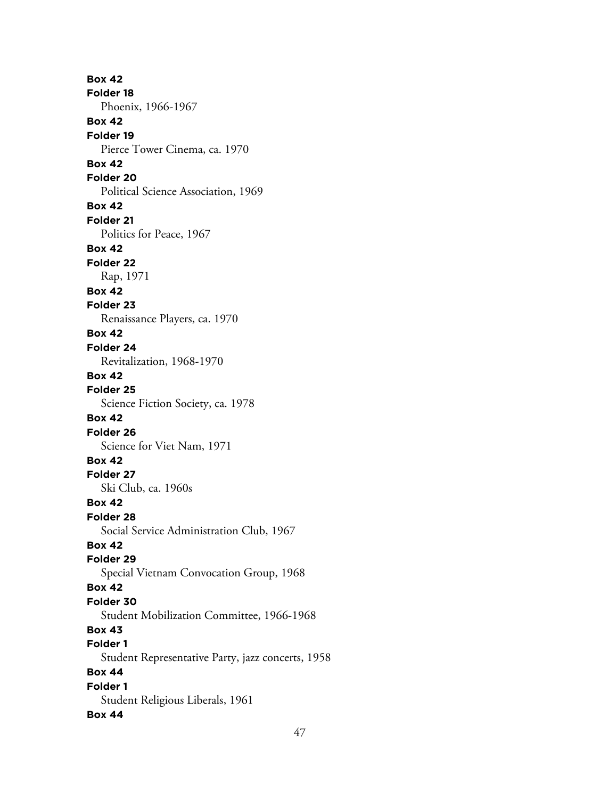**Box 42 Folder 18** Phoenix, 1966-1967 **Box 42 Folder 19** Pierce Tower Cinema, ca. 1970 **Box 42 Folder 20** Political Science Association, 1969 **Box 42 Folder 21** Politics for Peace, 1967 **Box 42 Folder 22** Rap, 1971 **Box 42 Folder 23** Renaissance Players, ca. 1970 **Box 42 Folder 24** Revitalization, 1968-1970 **Box 42 Folder 25** Science Fiction Society, ca. 1978 **Box 42 Folder 26** Science for Viet Nam, 1971 **Box 42 Folder 27** Ski Club, ca. 1960s **Box 42 Folder 28** Social Service Administration Club, 1967 **Box 42 Folder 29** Special Vietnam Convocation Group, 1968 **Box 42 Folder 30** Student Mobilization Committee, 1966-1968 **Box 43 Folder 1** Student Representative Party, jazz concerts, 1958 **Box 44 Folder 1** Student Religious Liberals, 1961 **Box 44**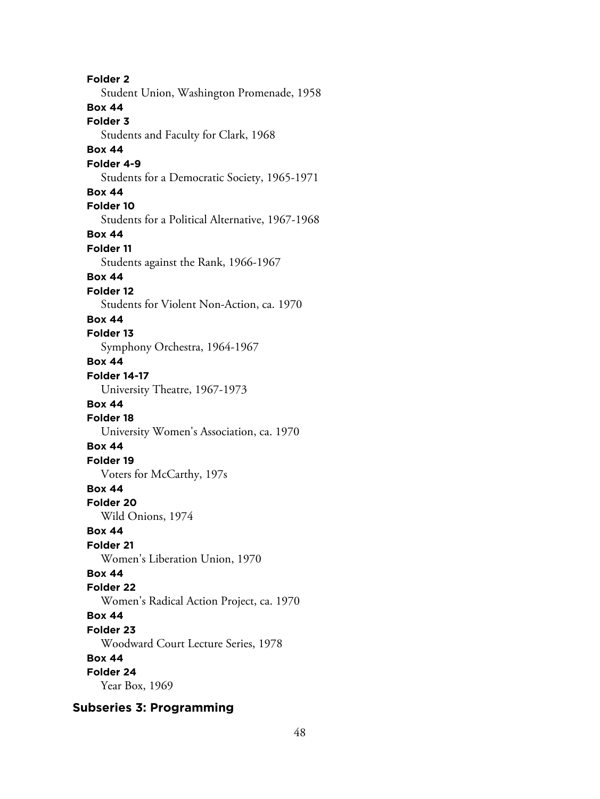**Folder 2** Student Union, Washington Promenade, 1958 **Box 44 Folder 3** Students and Faculty for Clark, 1968 **Box 44 Folder 4-9** Students for a Democratic Society, 1965-1971 **Box 44 Folder 10** Students for a Political Alternative, 1967-1968 **Box 44 Folder 11** Students against the Rank, 1966-1967 **Box 44 Folder 12** Students for Violent Non-Action, ca. 1970 **Box 44 Folder 13** Symphony Orchestra, 1964-1967 **Box 44 Folder 14-17** University Theatre, 1967-1973 **Box 44 Folder 18** University Women's Association, ca. 1970 **Box 44 Folder 19** Voters for McCarthy, 197s **Box 44 Folder 20** Wild Onions, 1974 **Box 44 Folder 21** Women's Liberation Union, 1970 **Box 44 Folder 22** Women's Radical Action Project, ca. 1970 **Box 44 Folder 23** Woodward Court Lecture Series, 1978 **Box 44 Folder 24** Year Box, 1969

**Subseries 3: Programming**